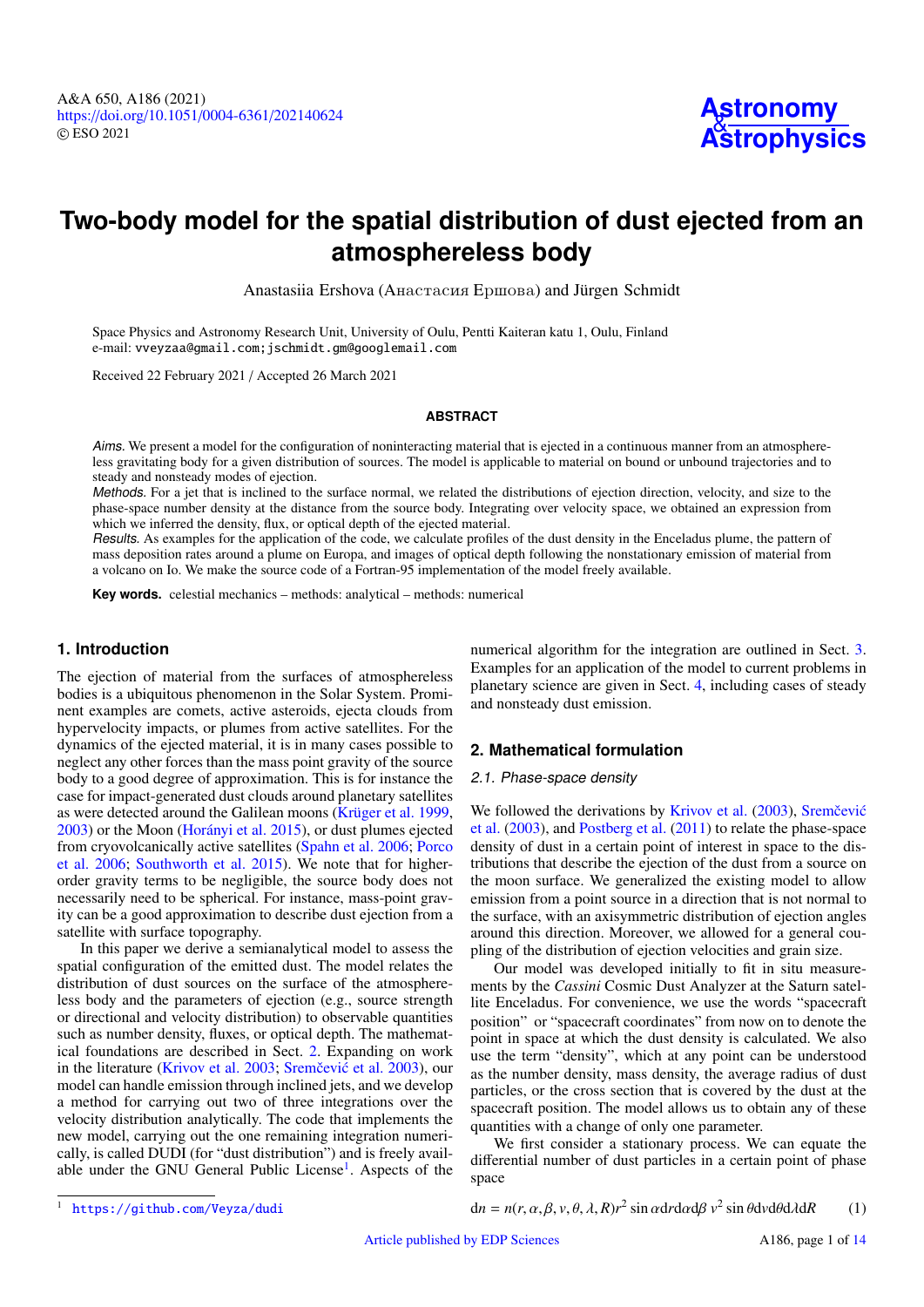

# **Two-body model for the spatial distribution of dust ejected from an atmosphereless body**

Anastasiia Ershova (Анастасия Ершова) and Jürgen Schmidt

Space Physics and Astronomy Research Unit, University of Oulu, Pentti Kaiteran katu 1, Oulu, Finland e-mail: [vveyzaa@gmail.com;jschmidt.gm@googlemail.com](mailto:vveyzaa@gmail.com;jschmidt.gm@googlemail.com)

Received 22 February 2021 / Accepted 26 March 2021

# **ABSTRACT**

Aims. We present a model for the configuration of noninteracting material that is ejected in a continuous manner from an atmosphereless gravitating body for a given distribution of sources. The model is applicable to material on bound or unbound trajectories and to steady and nonsteady modes of ejection.

Methods. For a jet that is inclined to the surface normal, we related the distributions of ejection direction, velocity, and size to the phase-space number density at the distance from the source body. Integrating over velocity space, we obtained an expression from which we inferred the density, flux, or optical depth of the ejected material.

Results. As examples for the application of the code, we calculate profiles of the dust density in the Enceladus plume, the pattern of mass deposition rates around a plume on Europa, and images of optical depth following the nonstationary emission of material from a volcano on Io. We make the source code of a Fortran-95 implementation of the model freely available.

**Key words.** celestial mechanics – methods: analytical – methods: numerical

# **1. Introduction**

The ejection of material from the surfaces of atmosphereless bodies is a ubiquitous phenomenon in the Solar System. Prominent examples are comets, active asteroids, ejecta clouds from hypervelocity impacts, or plumes from active satellites. For the dynamics of the ejected material, it is in many cases possible to neglect any other forces than the mass point gravity of the source body to a good degree of approximation. This is for instance the case for impact-generated dust clouds around planetary satellites as were detected around the Galilean moons [\(Krüger et al.](#page-12-0) [1999,](#page-12-0) [2003\)](#page-12-1) or the Moon [\(Horányi et al.](#page-12-2) [2015\)](#page-12-2), or dust plumes ejected from cryovolcanically active satellites [\(Spahn et al.](#page-12-3) [2006;](#page-12-3) [Porco](#page-12-4) [et al.](#page-12-4) [2006;](#page-12-4) [Southworth et al.](#page-12-5) [2015\)](#page-12-5). We note that for higherorder gravity terms to be negligible, the source body does not necessarily need to be spherical. For instance, mass-point gravity can be a good approximation to describe dust ejection from a satellite with surface topography.

In this paper we derive a semianalytical model to assess the spatial configuration of the emitted dust. The model relates the distribution of dust sources on the surface of the atmosphereless body and the parameters of ejection (e.g., source strength or directional and velocity distribution) to observable quantities such as number density, fluxes, or optical depth. The mathematical foundations are described in Sect. [2.](#page-0-0) Expanding on work in the literature [\(Krivov et al.](#page-12-6) [2003;](#page-12-6) Sremčević et al. [2003\)](#page-12-7), our model can handle emission through inclined jets, and we develop a method for carrying out two of three integrations over the velocity distribution analytically. The code that implements the new model, carrying out the one remaining integration numerically, is called DUDI (for "dust distribution") and is freely avail-able under the GNU General Public License<sup>[1](#page-0-1)</sup>. Aspects of the

numerical algorithm for the integration are outlined in Sect. [3.](#page-5-0) Examples for an application of the model to current problems in planetary science are given in Sect. [4,](#page-7-0) including cases of steady and nonsteady dust emission.

# <span id="page-0-0"></span>**2. Mathematical formulation**

## 2.1. Phase-space density

We followed the derivations by [Krivov et al.](#page-12-6) [\(2003\)](#page-12-6), Sremčević [et al.](#page-12-7) [\(2003\)](#page-12-7), and [Postberg et al.](#page-12-8) [\(2011\)](#page-12-8) to relate the phase-space density of dust in a certain point of interest in space to the distributions that describe the ejection of the dust from a source on the moon surface. We generalized the existing model to allow emission from a point source in a direction that is not normal to the surface, with an axisymmetric distribution of ejection angles around this direction. Moreover, we allowed for a general coupling of the distribution of ejection velocities and grain size.

Our model was developed initially to fit in situ measurements by the *Cassini* Cosmic Dust Analyzer at the Saturn satellite Enceladus. For convenience, we use the words "spacecraft position" or "spacecraft coordinates" from now on to denote the point in space at which the dust density is calculated. We also use the term "density", which at any point can be understood as the number density, mass density, the average radius of dust particles, or the cross section that is covered by the dust at the spacecraft position. The model allows us to obtain any of these quantities with a change of only one parameter.

We first consider a stationary process. We can equate the differential number of dust particles in a certain point of phase space

 $dn = n(r, \alpha, \beta, \nu, \theta, \lambda, R)r^2 \sin \alpha dr d\alpha d\beta \nu^2 \sin \theta d\nu d\theta d\lambda dR$  (1)

<span id="page-0-1"></span><sup>1</sup> <https://github.com/Veyza/dudi>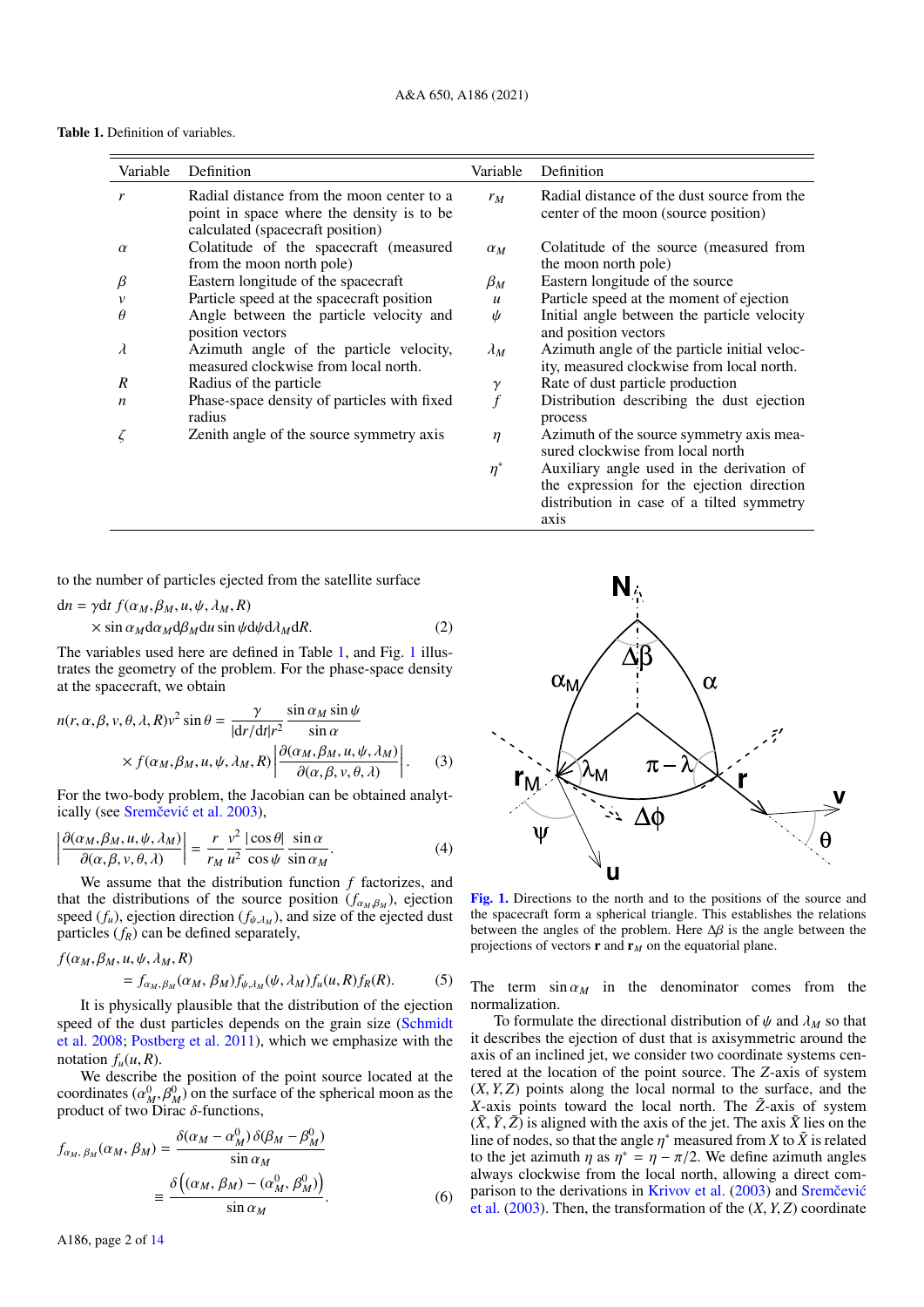Table 1. Definition of variables.

<span id="page-1-0"></span>

| Variable         | Definition                                                                                                                 | Variable         | Definition                                                                                |
|------------------|----------------------------------------------------------------------------------------------------------------------------|------------------|-------------------------------------------------------------------------------------------|
| r                | Radial distance from the moon center to a<br>point in space where the density is to be<br>calculated (spacecraft position) | $r_M$            | Radial distance of the dust source from the<br>center of the moon (source position)       |
| $\alpha$         | Colatitude of the spacecraft (measured<br>from the moon north pole)                                                        | $\alpha_M$       | Colatitude of the source (measured from<br>the moon north pole)                           |
| β                | Eastern longitude of the spacecraft                                                                                        | $\beta_M$        | Eastern longitude of the source                                                           |
|                  | Particle speed at the spacecraft position                                                                                  | $\boldsymbol{u}$ | Particle speed at the moment of ejection                                                  |
| $\theta$         | Angle between the particle velocity and<br>position vectors                                                                | ψ                | Initial angle between the particle velocity<br>and position vectors                       |
| $\lambda$        | Azimuth angle of the particle velocity,<br>measured clockwise from local north.                                            | $\lambda_M$      | Azimuth angle of the particle initial veloc-<br>ity, measured clockwise from local north. |
| R                | Radius of the particle                                                                                                     | $\gamma$         | Rate of dust particle production                                                          |
| $\boldsymbol{n}$ | Phase-space density of particles with fixed<br>radius                                                                      | f                | Distribution describing the dust ejection<br>process                                      |
|                  | Zenith angle of the source symmetry axis                                                                                   | $\eta$           | Azimuth of the source symmetry axis mea-<br>sured clockwise from local north              |
|                  |                                                                                                                            | $\eta^*$         | Auxiliary angle used in the derivation of<br>the expression for the ejection direction    |

to the number of particles ejected from the satellite surface

$$
dn = \gamma dt f(\alpha_M, \beta_M, u, \psi, \lambda_M, R)
$$
  
× sin  $\alpha_M d\alpha_M d\beta_M du$  sin  $\psi d\psi d\lambda_M dR$ . (2)

The variables used here are defined in Table [1,](#page-1-0) and Fig. [1](#page-1-1) illustrates the geometry of the problem. For the phase-space density at the spacecraft, we obtain

$$
n(r, \alpha, \beta, v, \theta, \lambda, R)v^{2} \sin \theta = \frac{\gamma}{|dr/dt|r^{2}} \frac{\sin \alpha_{M} \sin \psi}{\sin \alpha}
$$
  
 
$$
\times f(\alpha_{M}, \beta_{M}, u, \psi, \lambda_{M}, R) \left| \frac{\partial(\alpha_{M}, \beta_{M}, u, \psi, \lambda_{M})}{\partial(\alpha, \beta, v, \theta, \lambda)} \right|.
$$
 (3)  
For the two-body problem, the Jacobian can be obtained analyt-

ically (see Sremčević et al. [2003\)](#page-12-7),

$$
\left| \frac{\partial(\alpha_M, \beta_M, u, \psi, \lambda_M)}{\partial(\alpha, \beta, v, \theta, \lambda)} \right| = \frac{r}{r_M} \frac{v^2}{u^2} \frac{|\cos \theta|}{\cos \psi} \frac{\sin \alpha}{\sin \alpha_M}.
$$
 (4)  
We assume that the distribution function f factorizes, and

that the distributions of the source position  $(f_{\alpha_M}, \beta_M)$ , ejection<br>speed (*f*) ejection direction (*f*<sub>A</sub>, ) and size of the ejected dust speed  $(f_u)$ , ejection direction  $(f_{\psi,\lambda_M})$ , and size of the ejected dust<br>particles  $(f_{\gamma})$  can be defined separately particles (*fR*) can be defined separately,

$$
f(\alpha_M, \beta_M, u, \psi, \lambda_M, R)
$$
  
=  $f_{\alpha_M, \beta_M}(\alpha_M, \beta_M) f_{\psi, \lambda_M}(\psi, \lambda_M) f_u(u, R) f_R(R).$  (5)

It is physically plausible that the distribution of the ejection speed of the dust particles depends on the grain size [\(Schmidt](#page-12-9) [et al.](#page-12-9) [2008;](#page-12-9) [Postberg et al.](#page-12-8) [2011\)](#page-12-8), which we emphasize with the notation  $f_u(u, R)$ .

We describe the position of the point source located at the coordinates  $(\alpha_M^0, \beta_M^0)$  on the surface of the spherical moon as the product of two Dirac  $\delta$ -functions product of two Dirac  $\delta$ -functions,

$$
f_{\alpha_M, \beta_M}(\alpha_M, \beta_M) = \frac{\delta(\alpha_M - \alpha_M^0) \delta(\beta_M - \beta_M^0)}{\sin \alpha_M}
$$
  

$$
= \frac{\delta((\alpha_M, \beta_M) - (\alpha_M^0, \beta_M^0))}{\sin \alpha_M}.
$$
 (6)



distribution in case of a tilted symmetry

axis

<span id="page-1-2"></span><span id="page-1-1"></span>[Fig. 1.](https://dexter.edpsciences.org/applet.php?DOI=10.1051/0004-6361/202140624&pdf_id=1) Directions to the north and to the positions of the source and the spacecraft form a spherical triangle. This establishes the relations between the angles of the problem. Here <sup>∆</sup>β is the angle between the projections of vectors **r** and  $\mathbf{r}_M$  on the equatorial plane.

The term  $\sin \alpha_M$  in the denominator comes from the normalization.

To formulate the directional distribution of  $\psi$  and  $\lambda_M$  so that it describes the ejection of dust that is axisymmetric around the axis of an inclined jet, we consider two coordinate systems centered at the location of the point source. The *Z*-axis of system (*X*, *<sup>Y</sup>*, *<sup>Z</sup>*) points along the local normal to the surface, and the *X*-axis points toward the local north. The  $\tilde{Z}$ -axis of system  $(\tilde{X}, \tilde{Y}, \tilde{Z})$  is aligned with the axis of the jet. The axis  $\tilde{X}$  lies on the line of nodes, so that the angle  $\eta^*$  measured from *X* to  $\tilde{X}$  is related to the jet azimuth *n* as  $n^* = n - \pi/2$ . We define azimuth angles to the jet azimuth  $\eta$  as  $\eta^* = \eta - \pi/2$ . We define azimuth angles<br>always clockwise from the local north, allowing a direct comalways clockwise from the local north, allowing a direct com-parison to the derivations in [Krivov et al.](#page-12-6)  $(2003)$  and Sremčević [et al.](#page-12-7) [\(2003\)](#page-12-7). Then, the transformation of the (*X*, *<sup>Y</sup>*, *<sup>Z</sup>*) coordinate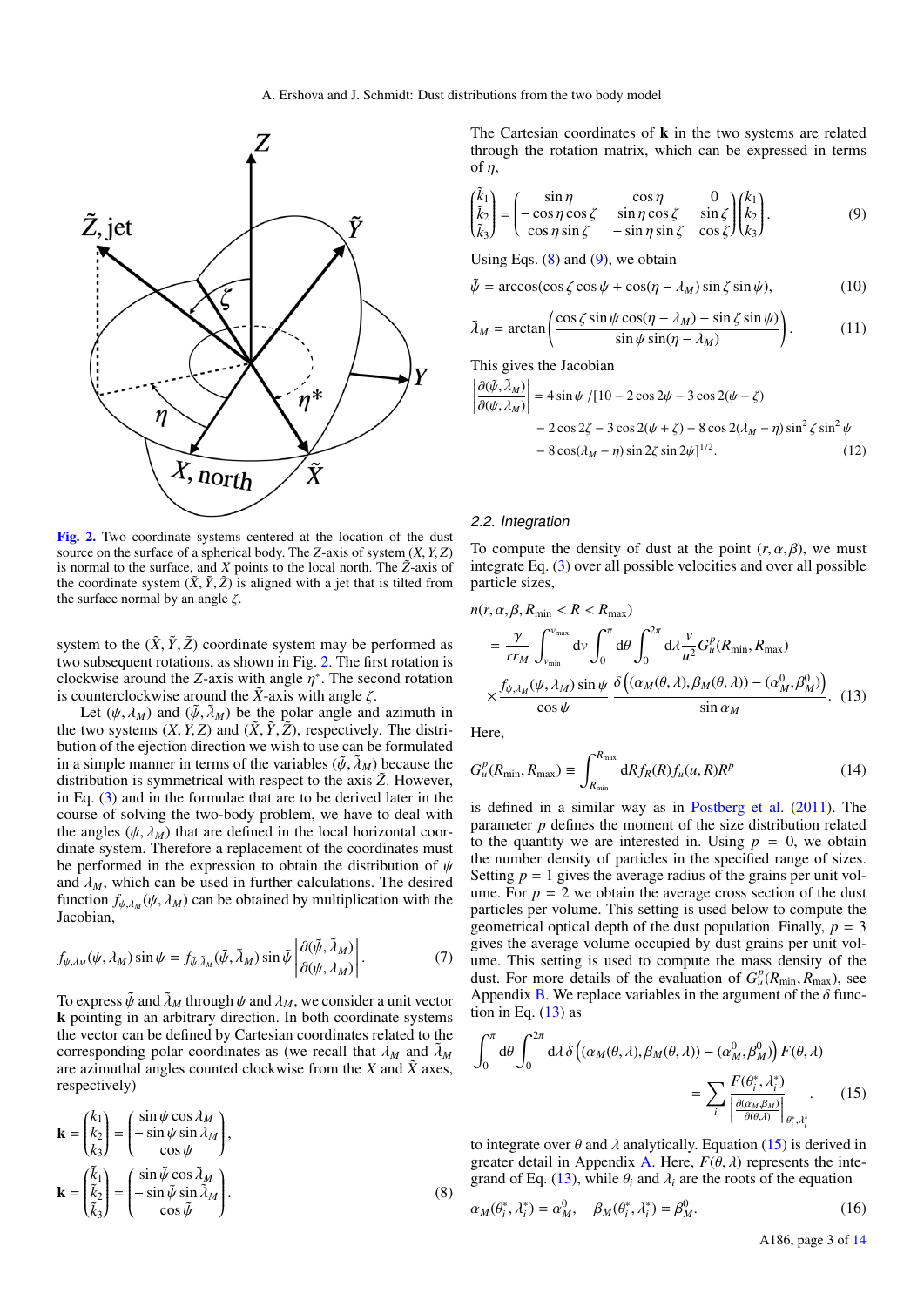I I I I I ļ



<span id="page-2-0"></span>[Fig. 2.](https://dexter.edpsciences.org/applet.php?DOI=10.1051/0004-6361/202140624&pdf_id=2) Two coordinate systems centered at the location of the dust source on the surface of a spherical body. The *<sup>Z</sup>*-axis of system (*X*, *<sup>Y</sup>*, *<sup>Z</sup>*) is normal to the surface, and  $X$  points to the local north. The  $\tilde{Z}$ -axis of the coordinate system  $(\tilde{X}, \tilde{Y}, \tilde{Z})$  is aligned with a jet that is tilted from the surface normal by an angle  $\zeta$ .

system to the  $(\tilde{X}, \tilde{Y}, \tilde{Z})$  coordinate system may be performed as two subsequent rotations, as shown in Fig. [2.](#page-2-0) The first rotation is clockwise around the *Z*-axis with angle  $\eta^*$ . The second rotation is counterclockwise around the  $\tilde{X}$ -axis with angle  $\zeta$ is counterclockwise around the  $\tilde{X}$ -axis with angle  $\zeta$ .

Let  $(\psi, \lambda_M)$  and  $(\tilde{\psi}, \tilde{\lambda}_M)$  be the polar angle and azimuth in the two systems  $(X, Y, Z)$  and  $(\tilde{X}, \tilde{Y}, \tilde{Z})$ , respectively. The distribution of the ejection direction we wish to use can be formulated in a simple manner in terms of the variables  $(\tilde{\psi}, \tilde{\lambda}_M)$  because the distribution is symmetrical with respect to the axis  $\tilde{Z}$ . However, in Eq. [\(3\)](#page-1-2) and in the formulae that are to be derived later in the course of solving the two-body problem, we have to deal with the angles  $(\psi, \lambda_M)$  that are defined in the local horizontal coordinate system. Therefore a replacement of the coordinates must be performed in the expression to obtain the distribution of  $\psi$ and  $\lambda_M$ , which can be used in further calculations. The desired function  $f_{\psi,\lambda_M}(\psi, \lambda_M)$  can be obtained by multiplication with the lacobian Jacobian,

$$
f_{\psi,\lambda_M}(\psi,\lambda_M)\sin\psi = f_{\tilde{\psi},\tilde{\lambda}_M}(\tilde{\psi},\tilde{\lambda}_M)\sin\tilde{\psi}\left|\frac{\partial(\tilde{\psi},\tilde{\lambda}_M)}{\partial(\psi,\lambda_M)}\right|.
$$
 (7)

To express  $\tilde{\psi}$  and  $\tilde{\lambda}_M$  through  $\psi$  and  $\lambda_M$ , we consider a unit vector k pointing in an arbitrary direction. In both coordinate systems the vector can be defined by Cartesian coordinates related to the corresponding polar coordinates as (we recall that  $\lambda_M$  and  $\lambda_M$ are azimuthal angles counted clockwise from the  $X$  and  $\tilde{X}$  axes, respectively)

$$
\mathbf{k} = \begin{pmatrix} k_1 \\ k_2 \\ k_3 \end{pmatrix} = \begin{pmatrix} \sin \psi \cos \lambda_M \\ -\sin \psi \sin \lambda_M \\ \cos \psi \end{pmatrix},
$$

$$
\mathbf{k} = \begin{pmatrix} \tilde{k}_1 \\ \tilde{k}_2 \\ \tilde{k}_3 \end{pmatrix} = \begin{pmatrix} \sin \tilde{\psi} \cos \tilde{\lambda}_M \\ -\sin \tilde{\psi} \sin \tilde{\lambda}_M \\ \cos \tilde{\psi} \end{pmatrix}.
$$
(8)

<span id="page-2-2"></span>The Cartesian coordinates of  $\bf{k}$  in the two systems are related through the rotation matrix, which can be expressed in terms of  $\eta$ ,

$$
\begin{pmatrix}\n\tilde{k}_1 \\
\tilde{k}_2 \\
\tilde{k}_3\n\end{pmatrix} = \begin{pmatrix}\n\sin \eta & \cos \eta & 0 \\
-\cos \eta \cos \zeta & \sin \eta \cos \zeta & \sin \zeta \\
\cos \eta \sin \zeta & -\sin \eta \sin \zeta & \cos \zeta\n\end{pmatrix} \begin{pmatrix}\nk_1 \\
k_2 \\
k_3\n\end{pmatrix}.
$$
\n(9)

Using Eqs.  $(8)$  and  $(9)$ , we obtain

$$
\tilde{\psi} = \arccos(\cos \zeta \cos \psi + \cos(\eta - \lambda_M) \sin \zeta \sin \psi),\tag{10}
$$

$$
\tilde{\lambda}_M = \arctan\left(\frac{\cos\zeta\sin\psi\cos(\eta - \lambda_M) - \sin\zeta\sin\psi}{\sin\psi\sin(\eta - \lambda_M)}\right). \tag{11}
$$

This gives the Jacobian

<span id="page-2-6"></span>
$$
\frac{\partial(\tilde{\psi}, \tilde{\lambda}_M)}{\partial(\psi, \lambda_M)}\Big| = 4 \sin \psi / [10 - 2 \cos 2\psi - 3 \cos 2(\psi - \zeta) \n- 2 \cos 2\zeta - 3 \cos 2(\psi + \zeta) - 8 \cos 2(\lambda_M - \eta) \sin^2 \zeta \sin^2 \psi \n- 8 \cos(\lambda_M - \eta) \sin 2\zeta \sin 2\psi]^{1/2}.
$$
\n(12)

## <span id="page-2-5"></span>2.2. Integration

To compute the density of dust at the point  $(r, \alpha, \beta)$ , we must integrate Eq. [\(3\)](#page-1-2) over all possible velocities and over all possible particle sizes,

$$
n(r, \alpha, \beta, R_{\min} < R < R_{\max})
$$
  
=  $\frac{\gamma}{rr_M} \int_{v_{\min}}^{v_{\max}} dv \int_0^{\pi} d\theta \int_0^{2\pi} d\lambda \frac{v}{u^2} G_u^p(R_{\min}, R_{\max})$   
 $\times \frac{f_{\psi, \lambda_M}(\psi, \lambda_M) \sin \psi}{\cos \psi} \frac{\delta((\alpha_M(\theta, \lambda), \beta_M(\theta, \lambda)) - (\alpha_M^0, \beta_M^0))}{\sin \alpha_M}.$  (13)

<span id="page-2-7"></span><span id="page-2-3"></span>Here,

$$
G_u^p(R_{\min}, R_{\max}) \equiv \int_{R_{\min}}^{R_{\max}} dR f_R(R) f_u(u, R) R^p
$$
 (14)

is defined in a similar way as in [Postberg et al.](#page-12-8) [\(2011\)](#page-12-8). The parameter *p* defines the moment of the size distribution related to the quantity we are interested in. Using  $p = 0$ , we obtain the number density of particles in the specified range of sizes. Setting  $p = 1$  gives the average radius of the grains per unit volume. For  $p = 2$  we obtain the average cross section of the dust particles per volume. This setting is used below to compute the geometrical optical depth of the dust population. Finally,  $p = 3$ gives the average volume occupied by dust grains per unit volume. This setting is used to compute the mass density of the dust. For more details of the evaluation of  $G_{\mu}^p(R_{\text{min}}, R_{\text{max}})$ , see<br>Appendix B, We replace variables in the argument of the  $\delta$  func-Appendix [B.](#page-13-1) We replace variables in the argument of the  $\delta$  function in Eq.  $(13)$  as

$$
\int_0^{\pi} d\theta \int_0^{2\pi} d\lambda \delta \left( (\alpha_M(\theta, \lambda), \beta_M(\theta, \lambda)) - (\alpha_M^0, \beta_M^0) \right) F(\theta, \lambda)
$$

$$
= \sum_i \frac{F(\theta_i^*, \lambda_i^*)}{\left| \frac{\partial(\alpha_M \beta_M)}{\partial(\theta, \lambda)} \right|_{\theta_i^*, \lambda_i^*}} . \tag{15}
$$

to integrate over  $\theta$  and  $\lambda$  analytically. Equation [\(15\)](#page-2-4) is derived in greater detail in Appendix [A.](#page-13-2) Here,  $F(\theta, \lambda)$  represents the inte-grand of Eq. [\(13\)](#page-2-3), while  $\theta_i$  and  $\lambda_i$  are the roots of the equation

<span id="page-2-1"></span>
$$
\alpha_M(\theta_i^*, \lambda_i^*) = \alpha_M^0, \quad \beta_M(\theta_i^*, \lambda_i^*) = \beta_M^0.
$$
\n(16)

<span id="page-2-4"></span>A186, page 3 of [14](#page-13-0)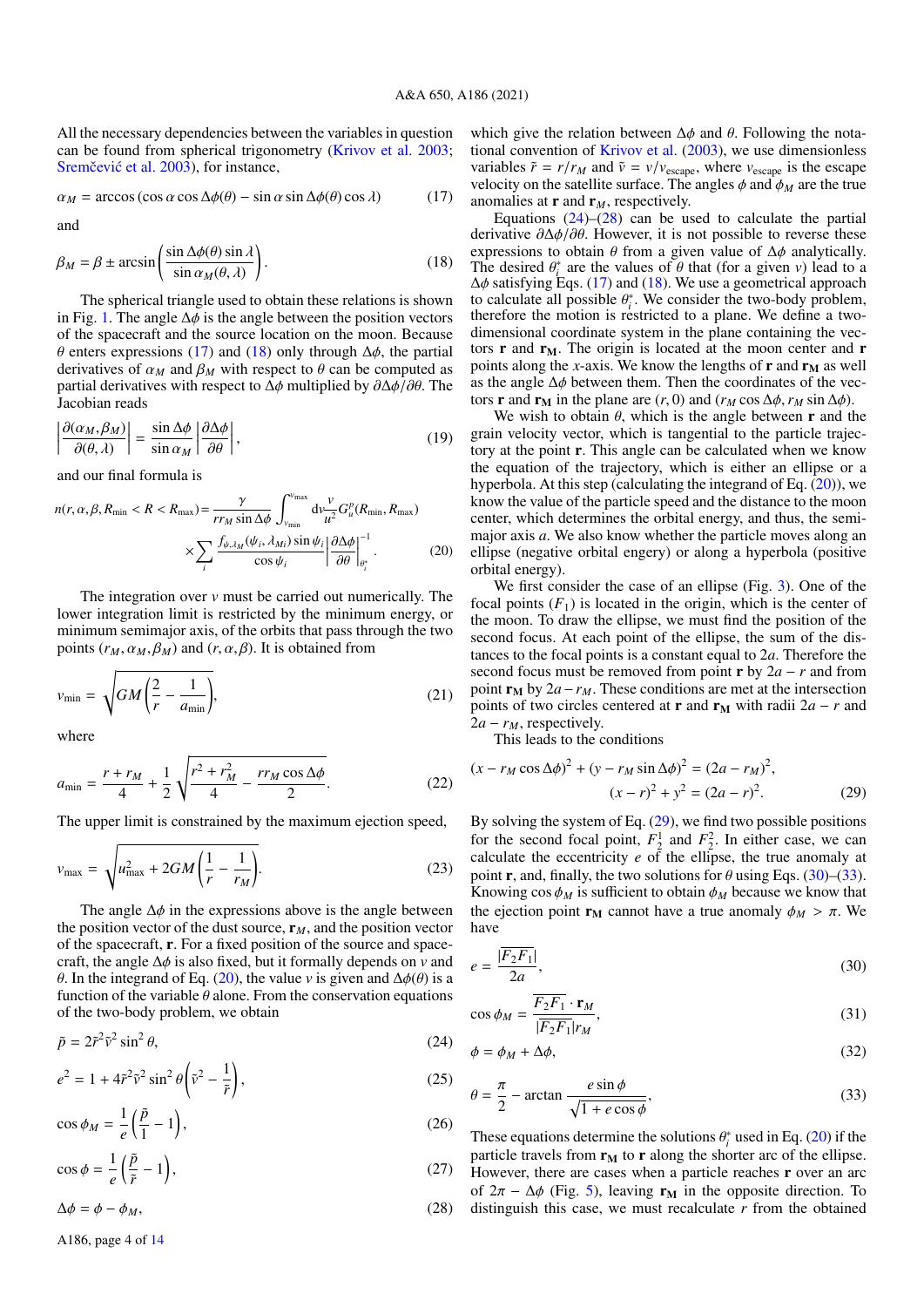All the necessary dependencies between the variables in question can be found from spherical trigonometry [\(Krivov et al.](#page-12-6) [2003;](#page-12-6) Sremčević et al. [2003\)](#page-12-7), for instance,

$$
\alpha_M = \arccos(\cos\alpha\cos\Delta\phi(\theta) - \sin\alpha\sin\Delta\phi(\theta)\cos\lambda)
$$
 (17)

<span id="page-3-1"></span>and

$$
\beta_M = \beta \pm \arcsin\left(\frac{\sin \Delta\phi(\theta) \sin \lambda}{\sin \alpha_M(\theta, \lambda)}\right).
$$
 (18)

The spherical triangle used to obtain these relations is shown in Fig. [1.](#page-1-1) The angle  $\Delta \phi$  is the angle between the position vectors of the spacecraft and the source location on the moon. Because θ enters expressions [\(17\)](#page-3-0) and [\(18\)](#page-3-1) only through <sup>∆</sup>φ, the partial derivatives of  $\alpha_M$  and  $\beta_M$  with respect to  $\theta$  can be computed as partial derivatives with respect to  $\Delta \phi$  multiplied by  $\partial \Delta \phi / \partial \theta$ . The Jacobian reads

$$
\left| \frac{\partial(\alpha_M, \beta_M)}{\partial(\theta, \lambda)} \right| = \frac{\sin \Delta \phi}{\sin \alpha_M} \left| \frac{\partial \Delta \phi}{\partial \theta} \right|,
$$
\n(19)

and our final formula is

$$
n(r, \alpha, \beta, R_{\min} < R < R_{\max}) = \frac{\gamma}{rr_M \sin \Delta \phi} \int_{v_{\min}}^{v_{\max}} dv \frac{v}{u^2} G_u^p(R_{\min}, R_{\max}) \times \sum_i \frac{f_{\psi, \lambda_M}(\psi_i, \lambda_{Mi}) \sin \psi_i}{\cos \psi_i} \left| \frac{\partial \Delta \phi}{\partial \theta} \right|_{\theta_i^*}^{-1} . \tag{20}
$$

The integration over *v* must be carried out numerically. The lower integration limit is restricted by the minimum energy, or minimum semimajor axis, of the orbits that pass through the two points  $(r_M, \alpha_M, \beta_M)$  and  $(r, \alpha, \beta)$ . It is obtained from

$$
v_{\min} = \sqrt{GM\left(\frac{2}{r} - \frac{1}{a_{\min}}\right)},\tag{21}
$$

<span id="page-3-10"></span>where

$$
a_{\min} = \frac{r + r_M}{4} + \frac{1}{2} \sqrt{\frac{r^2 + r_M^2}{4} - \frac{rr_M \cos \Delta \phi}{2}}.
$$
 (22)

The upper limit is constrained by the maximum ejection speed,

$$
v_{\text{max}} = \sqrt{u_{\text{max}}^2 + 2GM\left(\frac{1}{r} - \frac{1}{r_M}\right)}.
$$
 (23)

The angle  $\Delta\phi$  in the expressions above is the angle between the position vector of the dust source,  $\mathbf{r}_M$ , and the position vector of the spacecraft, r. For a fixed position of the source and spacecraft, the angle <sup>∆</sup>φ is also fixed, but it formally depends on *<sup>v</sup>* and θ. In the integrand of Eq. [\(20\)](#page-3-2), the value *<sup>v</sup>* is given and <sup>∆</sup>φ(θ) is a function of the variable  $\theta$  alone. From the conservation equations of the two-body problem, we obtain

$$
\tilde{p} = 2\tilde{r}^2 \tilde{v}^2 \sin^2 \theta,\tag{24}
$$

$$
e^2 = 1 + 4\tilde{r}^2 \tilde{v}^2 \sin^2 \theta \left(\tilde{v}^2 - \frac{1}{\tilde{r}}\right),\tag{25}
$$

$$
\cos \phi_M = \frac{1}{e} \left( \frac{\tilde{p}}{1} - 1 \right),\tag{26}
$$

$$
\cos \phi = \frac{1}{e} \left( \frac{\tilde{p}}{\tilde{r}} - 1 \right),\tag{27}
$$

<span id="page-3-4"></span>
$$
\Delta \phi = \phi - \phi_M,\tag{28}
$$

<span id="page-3-0"></span>which give the relation between  $\Delta \phi$  and  $\theta$ . Following the nota-tional convention of [Krivov et al.](#page-12-6)  $(2003)$ , we use dimensionless variables  $\tilde{r} = r/r_M$  and  $\tilde{v} = v/v_{\text{escape}}$ , where  $v_{\text{escape}}$  is the escape velocity on the satellite surface. The angles  $\phi$  and  $\phi_M$  are the true anomalies at  $\mathbf{r}$  and  $\mathbf{r}_M$ , respectively.

Equations  $(24)$ – $(28)$  can be used to calculate the partial derivative  $\partial \Delta \phi / \partial \theta$ . However, it is not possible to reverse these expressions to obtain  $\theta$  from a given value of  $\Delta \phi$  analytically. The desired  $\theta_i^*$  are the values of  $\theta$  that (for a given *v*) lead to a  $\Delta \phi$  satisfying Eqs. (17) and (18). We use a geometrical approach  $\Delta\phi$  satisfying Eqs. [\(17\)](#page-3-0) and [\(18\)](#page-3-1). We use a geometrical approach to calculate all possible  $\theta_i^*$ . We consider the two-body problem, therefore the motion is restricted to a plane. We define a twotherefore the motion is restricted to a plane. We define a twodimensional coordinate system in the plane containing the vectors  $\bf{r}$  and  $\bf{r}_M$ . The origin is located at the moon center and  $\bf{r}$ points along the *x*-axis. We know the lengths of  $\mathbf{r}$  and  $\mathbf{r}_M$  as well as the angle  $\Delta \phi$  between them. Then the coordinates of the vectors **r** and **r**<sub>M</sub> in the plane are  $(r, 0)$  and  $(r_M \cos \Delta\phi, r_M \sin \Delta\phi)$ .

We wish to obtain  $\theta$ , which is the angle between **r** and the grain velocity vector, which is tangential to the particle trajectory at the point r. This angle can be calculated when we know the equation of the trajectory, which is either an ellipse or a hyperbola. At this step (calculating the integrand of Eq.  $(20)$ ), we know the value of the particle speed and the distance to the moon center, which determines the orbital energy, and thus, the semimajor axis *a*. We also know whether the particle moves along an ellipse (negative orbital engery) or along a hyperbola (positive orbital energy).

<span id="page-3-9"></span><span id="page-3-2"></span>We first consider the case of an ellipse (Fig. [3\)](#page-4-0). One of the focal points  $(F_1)$  is located in the origin, which is the center of the moon. To draw the ellipse, we must find the position of the second focus. At each point of the ellipse, the sum of the distances to the focal points is a constant equal to 2*a*. Therefore the second focus must be removed from point **r** by  $2a - r$  and from point  $\mathbf{r}_M$  by 2*a*−*r<sub>M</sub>*. These conditions are met at the intersection points of two circles centered at **r** and  $\mathbf{r}_M$  with radii 2*a* − *r* and  $2a - r_M$ , respectively.

<span id="page-3-5"></span>This leads to the conditions

$$
(x - r_M \cos \Delta \phi)^2 + (y - r_M \sin \Delta \phi)^2 = (2a - r_M)^2,
$$
  

$$
(x - r)^2 + y^2 = (2a - r)^2.
$$
 (29)

By solving the system of Eq. [\(29\)](#page-3-5), we find two possible positions for the second focal point,  $F_2^1$  and  $F_2^2$ . In either case, we can calculate the eccentricity *e* of the ellipse, the true anomaly at point **r**, and, finally, the two solutions for  $\theta$  using Eqs. [\(30\)](#page-3-6)–[\(33\)](#page-3-7). Knowing  $\cos \phi_M$  is sufficient to obtain  $\phi_M$  because we know that the ejection point  $\mathbf{r}_M$  cannot have a true anomaly  $\phi_M > \pi$ . We have

<span id="page-3-6"></span>
$$
e = \frac{|\overline{F_2 F_1}|}{2a},\tag{30}
$$

<span id="page-3-3"></span>
$$
\cos \phi_M = \frac{\overline{F_2 F_1} \cdot \mathbf{r}_M}{|\overline{F_2 F_1}| r_M},\tag{31}
$$

<span id="page-3-8"></span>
$$
\phi = \phi_M + \Delta \phi, \tag{32}
$$

<span id="page-3-7"></span>
$$
\theta = \frac{\pi}{2} - \arctan \frac{e \sin \phi}{\sqrt{1 + e \cos \phi}},
$$
\n(33)

These equations determine the solutions  $\theta_i^*$  used in Eq. [\(20\)](#page-3-2) if the particle travels from  $\mathbf{r}_k$  to  $\mathbf{r}_k$  along the shorter arc of the ellipse particle travels from  $r_M$  to  $r$  along the shorter arc of the ellipse. However, there are cases when a particle reaches **r** over an arc of  $2\pi - \Delta\phi$  (Fig. [5\)](#page-5-1), leaving  $\mathbf{r}_{\mathbf{M}}$  in the opposite direction. To distinguish this case, we must recalculate *r* from the obtained

A186, page 4 of [14](#page-13-0)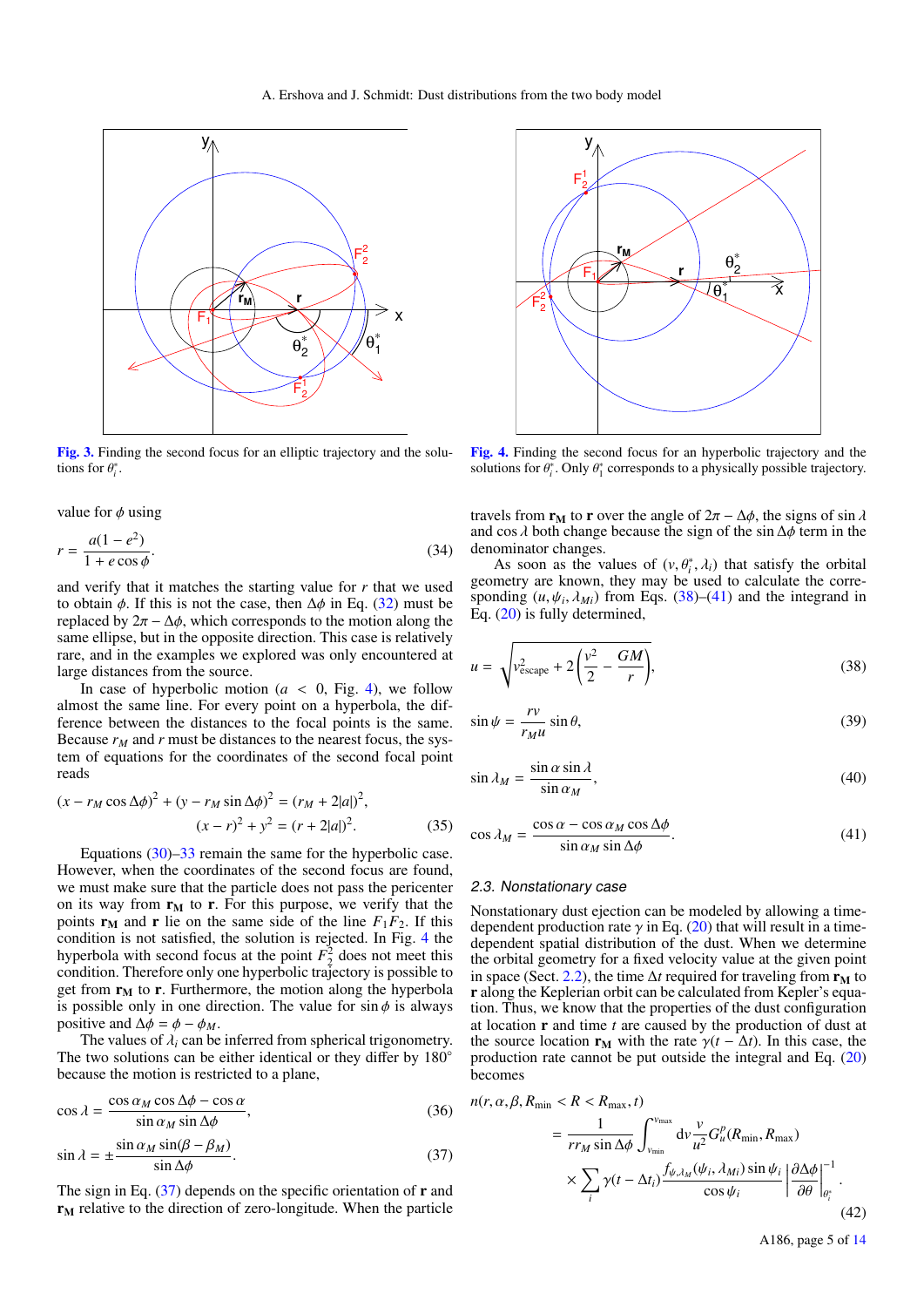

<span id="page-4-0"></span>[Fig. 3.](https://dexter.edpsciences.org/applet.php?DOI=10.1051/0004-6361/202140624&pdf_id=3) Finding the second focus for an elliptic trajectory and the solutions for  $\theta_i^*$ .

value for  $\phi$  using

$$
r = \frac{a(1 - e^2)}{1 + e \cos \phi}.
$$
\n
$$
(34)
$$

and verify that it matches the starting value for *r* that we used to obtain  $\phi$ . If this is not the case, then  $\Delta\phi$  in Eq. [\(32\)](#page-3-8) must be replaced by  $2\pi - \Delta\phi$ , which corresponds to the motion along the same ellipse, but in the opposite direction. This case is relatively rare, and in the examples we explored was only encountered at large distances from the source.

In case of hyperbolic motion  $(a < 0, Fig. 4)$  $(a < 0, Fig. 4)$ , we follow almost the same line. For every point on a hyperbola, the difference between the distances to the focal points is the same. Because  $r_M$  and  $r$  must be distances to the nearest focus, the system of equations for the coordinates of the second focal point reads

$$
(x - r_M \cos \Delta \phi)^2 + (y - r_M \sin \Delta \phi)^2 = (r_M + 2|a|)^2,
$$
  

$$
(x - r)^2 + y^2 = (r + 2|a|)^2.
$$
 (35)

Equations  $(30)$ [–33](#page-3-7) remain the same for the hyperbolic case. However, when the coordinates of the second focus are found, we must make sure that the particle does not pass the pericenter on its way from  $r_M$  to r. For this purpose, we verify that the points  $\mathbf{r}_M$  and  $\mathbf{r}$  lie on the same side of the line  $F_1F_2$ . If this condition is not satisfied, the solution is rejected. In Fig. [4](#page-4-1) the hyperbola with second focus at the point  $F_2^2$  does not meet this condition. Therefore only one hyperbolic trajectory is possible to get from  $r_M$  to r. Furthermore, the motion along the hyperbola is possible only in one direction. The value for  $\sin \phi$  is always positive and  $\Delta \phi = \phi - \phi_M$ .

The values of  $\lambda_i$  can be inferred from spherical trigonometry. The two solutions can be either identical or they differ by 180<sup>°</sup> because the motion is restricted to a plane,

$$
\cos \lambda = \frac{\cos \alpha_M \cos \Delta \phi - \cos \alpha}{\sin \alpha_M \sin \Delta \phi},
$$
\n(36)

<span id="page-4-2"></span>
$$
\sin \lambda = \pm \frac{\sin \alpha_M \sin(\beta - \beta_M)}{\sin \Delta \phi}.
$$
\n(37)

The sign in Eq.  $(37)$  depends on the specific orientation of **r** and  $r_M$  relative to the direction of zero-longitude. When the particle



<span id="page-4-1"></span>[Fig. 4.](https://dexter.edpsciences.org/applet.php?DOI=10.1051/0004-6361/202140624&pdf_id=4) Finding the second focus for an hyperbolic trajectory and the solutions for  $\theta_i^*$ . Only  $\theta_1^*$  corresponds to a physically possible trajectory.

travels from  $\mathbf{r}_{\mathbf{M}}$  to  $\mathbf{r}$  over the angle of  $2\pi - \Delta\phi$ , the signs of sin  $\lambda$ and cos  $\lambda$  both change because the sign of the sin  $\Delta \phi$  term in the denominator changes.

As soon as the values of  $(v, \theta_i^*, \lambda_i)$  that satisfy the orbital<br>metry are known they may be used to calculate the corregeometry are known, they may be used to calculate the corresponding  $(u, \psi_i, \lambda_{Mi})$  from Eqs. [\(38\)](#page-4-3)–[\(41\)](#page-4-4) and the integrand in Eq. (20) is fully determined Eq. [\(20\)](#page-3-2) is fully determined,

<span id="page-4-3"></span>
$$
u = \sqrt{v_{\text{escape}}^2 + 2\left(\frac{v^2}{2} - \frac{GM}{r}\right)},\tag{38}
$$

$$
\sin \psi = \frac{rv}{r_M u} \sin \theta,\tag{39}
$$

$$
\sin \lambda_M = \frac{\sin \alpha \sin \lambda}{\sin \alpha_M},\tag{40}
$$

<span id="page-4-4"></span>
$$
\cos \lambda_M = \frac{\cos \alpha - \cos \alpha_M \cos \Delta \phi}{\sin \alpha_M \sin \Delta \phi}.
$$
 (41)

## 2.3. Nonstationary case

Nonstationary dust ejection can be modeled by allowing a timedependent production rate  $\gamma$  in Eq. [\(20\)](#page-3-2) that will result in a timedependent spatial distribution of the dust. When we determine the orbital geometry for a fixed velocity value at the given point in space (Sect. [2.2\)](#page-2-5), the time  $\Delta t$  required for traveling from  $\mathbf{r}_{\mathbf{M}}$  to r along the Keplerian orbit can be calculated from Kepler's equation. Thus, we know that the properties of the dust configuration at location r and time *t* are caused by the production of dust at the source location  $\mathbf{r}_{\mathbf{M}}$  with the rate  $\gamma(t - \Delta t)$ . In this case, the production rate cannot be put outside the integral and Eq. [\(20\)](#page-3-2) becomes

<span id="page-4-5"></span>
$$
n(r, \alpha, \beta, R_{\min} < R < R_{\max}, t)
$$
\n
$$
= \frac{1}{rr_M \sin \Delta \phi} \int_{v_{\min}}^{v_{\max}} dv \frac{v}{u^2} G_u^p(R_{\min}, R_{\max})
$$
\n
$$
\times \sum_i \gamma(t - \Delta t_i) \frac{f_{\psi, \lambda_M}(\psi_i, \lambda_{Mi}) \sin \psi_i}{\cos \psi_i} \left| \frac{\partial \Delta \phi}{\partial \theta} \right|_{\theta_i^*}^{-1} .
$$
\n
$$
(42)
$$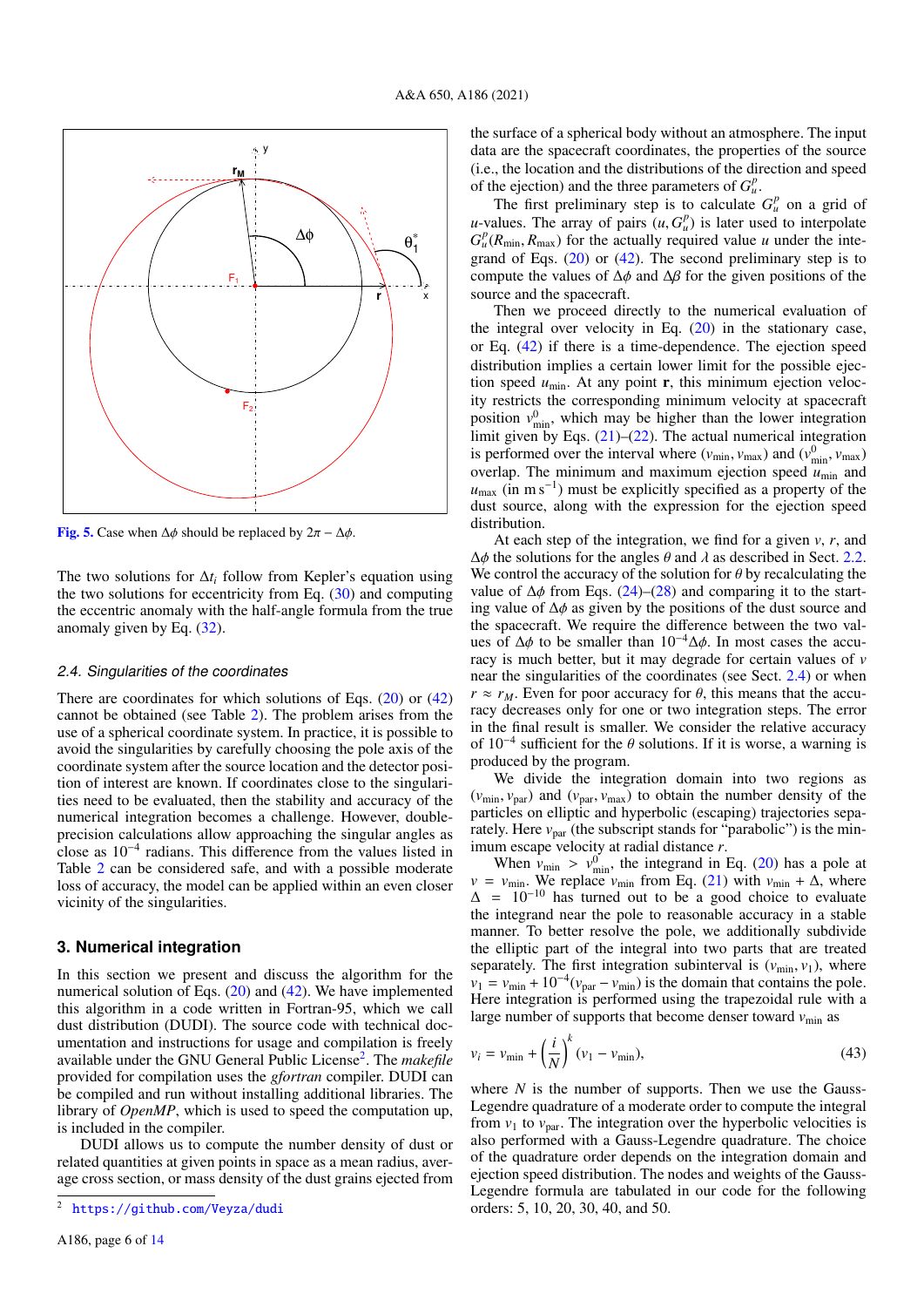

<span id="page-5-1"></span>[Fig. 5.](https://dexter.edpsciences.org/applet.php?DOI=10.1051/0004-6361/202140624&pdf_id=5) Case when  $\Delta \phi$  should be replaced by  $2\pi - \Delta \phi$ .

The two solutions for ∆*t<sup>i</sup>* follow from Kepler's equation using the two solutions for eccentricity from Eq.  $(30)$  and computing the eccentric anomaly with the half-angle formula from the true anomaly given by Eq. [\(32\)](#page-3-8).

## <span id="page-5-3"></span>2.4. Singularities of the coordinates

There are coordinates for which solutions of Eqs. [\(20\)](#page-3-2) or [\(42\)](#page-4-5) cannot be obtained (see Table [2\)](#page-6-0). The problem arises from the use of a spherical coordinate system. In practice, it is possible to avoid the singularities by carefully choosing the pole axis of the coordinate system after the source location and the detector position of interest are known. If coordinates close to the singularities need to be evaluated, then the stability and accuracy of the numerical integration becomes a challenge. However, doubleprecision calculations allow approaching the singular angles as close as 10<sup>−</sup><sup>4</sup> radians. This difference from the values listed in Table [2](#page-6-0) can be considered safe, and with a possible moderate loss of accuracy, the model can be applied within an even closer vicinity of the singularities.

## <span id="page-5-0"></span>**3. Numerical integration**

In this section we present and discuss the algorithm for the numerical solution of Eqs. [\(20\)](#page-3-2) and [\(42\)](#page-4-5). We have implemented this algorithm in a code written in Fortran-95, which we call dust distribution (DUDI). The source code with technical documentation and instructions for usage and compilation is freely available under the GNU General Public License<sup>[2](#page-5-2)</sup>. The *makefile* provided for compilation uses the *gfortran* compiler. DUDI can be compiled and run without installing additional libraries. The library of *OpenMP*, which is used to speed the computation up, is included in the compiler.

DUDI allows us to compute the number density of dust or related quantities at given points in space as a mean radius, average cross section, or mass density of the dust grains ejected from the surface of a spherical body without an atmosphere. The input data are the spacecraft coordinates, the properties of the source (i.e., the location and the distributions of the direction and speed of the ejection) and the three parameters of  $G_u^p$ .

The first preliminary step is to calculate  $G_u^p$  on a grid of *u*-values. The array of pairs  $(u, G_u^p)$  is later used to interpolate  $G^p(R_{min}, R_{max})$  for the actually required value *u* under the inte- $G_{\mu}^p(R_{\text{min}}, R_{\text{max}})$  for the actually required value *u* under the inte-<br>grand of Fos. (20) or (42). The second preliminary step is to grand of Eqs. [\(20\)](#page-3-2) or [\(42\)](#page-4-5). The second preliminary step is to compute the values of  $\Delta \phi$  and  $\Delta \beta$  for the given positions of the source and the spacecraft.

Then we proceed directly to the numerical evaluation of the integral over velocity in Eq. [\(20\)](#page-3-2) in the stationary case, or Eq. [\(42\)](#page-4-5) if there is a time-dependence. The ejection speed distribution implies a certain lower limit for the possible ejection speed  $u_{\text{min}}$ . At any point **r**, this minimum ejection velocity restricts the corresponding minimum velocity at spacecraft position  $v_{\text{min}}^0$ , which may be higher than the lower integration limit given by Eqs.  $(21)$ – $(22)$ . The actual numerical integration is performed over the interval where  $(v_{\text{min}}, v_{\text{max}})$  and  $(v_{\text{min}}^0, v_{\text{max}})$ <br>overlap. The minimum and maximum ejection speed  $u_{\text{max}}$  and overlap. The minimum and maximum ejection speed  $u_{\text{min}}$  and  $u_{\text{max}}$  (in m s<sup>-1</sup>) must be explicitly specified as a property of the dust source, along with the expression for the ejection speed distribution.

At each step of the integration, we find for a given *v*, *r*, and  $\Delta\phi$  the solutions for the angles  $\theta$  and  $\lambda$  as described in Sect. [2.2.](#page-2-5) We control the accuracy of the solution for  $\theta$  by recalculating the value of  $\Delta\phi$  from Eqs. [\(24\)](#page-3-3)–[\(28\)](#page-3-4) and comparing it to the starting value of <sup>∆</sup>φ as given by the positions of the dust source and the spacecraft. We require the difference between the two values of  $\Delta\phi$  to be smaller than  $10^{-4}\Delta\phi$ . In most cases the accuracy is much better, but it may degrade for certain values of *v* near the singularities of the coordinates (see Sect. [2.4\)](#page-5-3) or when  $r \approx r_M$ . Even for poor accuracy for  $\theta$ , this means that the accuracy decreases only for one or two integration steps. The error in the final result is smaller. We consider the relative accuracy of  $10^{-4}$  sufficient for the  $\theta$  solutions. If it is worse, a warning is produced by the program produced by the program.

We divide the integration domain into two regions as  $(v_{\text{min}}, v_{\text{par}})$  and  $(v_{\text{par}}, v_{\text{max}})$  to obtain the number density of the particles on elliptic and hyperbolic (escaping) trajectories separately. Here  $v_{\text{par}}$  (the subscript stands for "parabolic") is the minimum escape velocity at radial distance *r*.

When  $v_{\text{min}} > v_{\text{min}}^0$ , the integrand in Eq. [\(20\)](#page-3-2) has a pole at  $v_{\text{min}}$ . We replace  $v_{\text{min}}$  from Eq. (21) with  $v_{\text{min}} + \Delta$  where  $v = v_{\text{min}}$ . We replace  $v_{\text{min}}$  from Eq. [\(21\)](#page-3-9) with  $v_{\text{min}} + \Delta$ , where  $\Delta$  = 10<sup>-10</sup> has turned out to be a good choice to evaluate the integrand near the pole to reasonable accuracy in a stable manner. To better resolve the pole, we additionally subdivide the elliptic part of the integral into two parts that are treated separately. The first integration subinterval is  $(v_{\min}, v_1)$ , where  $v_1 = v_{\text{min}} + 10^{-4} (v_{\text{par}} - v_{\text{min}})$  is the domain that contains the pole. Here integration is performed using the trapezoidal rule with a large number of supports that become denser toward  $v_{\text{min}}$  as

<span id="page-5-4"></span>
$$
v_i = v_{\min} + \left(\frac{i}{N}\right)^k (v_1 - v_{\min}),\tag{43}
$$

where *N* is the number of supports. Then we use the Gauss-Legendre quadrature of a moderate order to compute the integral from  $v_1$  to  $v_{\text{par}}$ . The integration over the hyperbolic velocities is also performed with a Gauss-Legendre quadrature. The choice of the quadrature order depends on the integration domain and ejection speed distribution. The nodes and weights of the Gauss-Legendre formula are tabulated in our code for the following orders: 5, 10, 20, 30, 40, and 50.

<span id="page-5-2"></span><https://github.com/Veyza/dudi>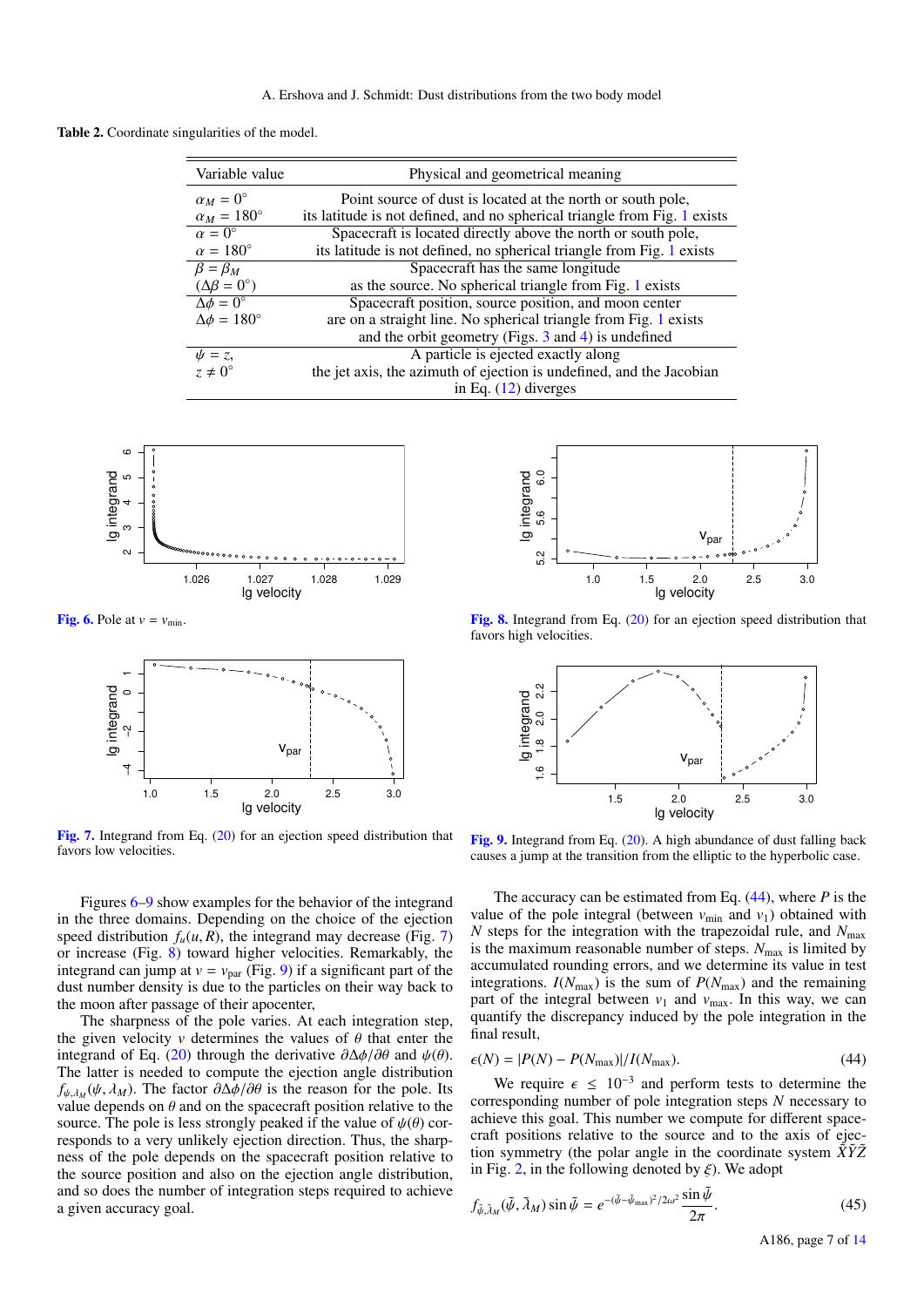<span id="page-6-0"></span>Table 2. Coordinate singularities of the model.

| Variable value               | Physical and geometrical meaning                                          |  |
|------------------------------|---------------------------------------------------------------------------|--|
| $\alpha_M=0^\circ$           | Point source of dust is located at the north or south pole,               |  |
| $\alpha_M = 180^\circ$       | its latitude is not defined, and no spherical triangle from Fig. 1 exists |  |
| $\alpha = 0^{\circ}$         | Spacecraft is located directly above the north or south pole,             |  |
| $\alpha = 180^{\circ}$       | its latitude is not defined, no spherical triangle from Fig. 1 exists     |  |
| $\beta = \beta_M$            | Spacecraft has the same longitude                                         |  |
| $(\Delta \beta = 0^{\circ})$ | as the source. No spherical triangle from Fig. 1 exists                   |  |
| $\Delta \phi = 0^{\circ}$    | Spacecraft position, source position, and moon center                     |  |
| $\Delta\phi = 180^\circ$     | are on a straight line. No spherical triangle from Fig. 1 exists          |  |
|                              | and the orbit geometry (Figs. $3$ and $4$ ) is undefined                  |  |
| $\psi = z$ ,                 | A particle is ejected exactly along                                       |  |
| $z \neq 0^{\circ}$           | the jet axis, the azimuth of ejection is undefined, and the Jacobian      |  |
|                              | in Eq. $(12)$ diverges                                                    |  |



[Fig. 6.](https://dexter.edpsciences.org/applet.php?DOI=10.1051/0004-6361/202140624&pdf_id=6) Pole at  $v = v_{\text{min}}$ .

<span id="page-6-1"></span>

<span id="page-6-3"></span>[Fig. 7.](https://dexter.edpsciences.org/applet.php?DOI=10.1051/0004-6361/202140624&pdf_id=7) Integrand from Eq. [\(20\)](#page-3-2) for an ejection speed distribution that favors low velocities.

Figures [6–](#page-6-1)[9](#page-6-2) show examples for the behavior of the integrand in the three domains. Depending on the choice of the ejection speed distribution  $f_u(u, R)$ , the integrand may decrease (Fig. [7\)](#page-6-3) or increase (Fig. [8\)](#page-6-4) toward higher velocities. Remarkably, the integrand can jump at  $v = v_{\text{par}}$  (Fig. [9\)](#page-6-2) if a significant part of the dust number density is due to the particles on their way back to the moon after passage of their apocenter,

The sharpness of the pole varies. At each integration step, the given velocity  $v$  determines the values of  $\theta$  that enter the integrand of Eq. [\(20\)](#page-3-2) through the derivative  $\partial \Delta \phi / \partial \theta$  and  $\psi(\theta)$ . The latter is needed to compute the ejection angle distribution  $f_{\psi,\lambda_M}(\psi, \lambda_M)$ . The factor  $\partial \Delta \phi / \partial \theta$  is the reason for the pole. Its value depends on  $\theta$  and on the spacecraft position relative to the value depends on  $\theta$  and on the spacecraft position relative to the source. The pole is less strongly peaked if the value of  $\psi(\theta)$  corresponds to a very unlikely ejection direction. Thus, the sharpness of the pole depends on the spacecraft position relative to the source position and also on the ejection angle distribution, and so does the number of integration steps required to achieve a given accuracy goal.



<span id="page-6-4"></span>[Fig. 8.](https://dexter.edpsciences.org/applet.php?DOI=10.1051/0004-6361/202140624&pdf_id=8) Integrand from Eq. [\(20\)](#page-3-2) for an ejection speed distribution that favors high velocities.



<span id="page-6-2"></span>[Fig. 9.](https://dexter.edpsciences.org/applet.php?DOI=10.1051/0004-6361/202140624&pdf_id=9) Integrand from Eq. [\(20\)](#page-3-2). A high abundance of dust falling back causes a jump at the transition from the elliptic to the hyperbolic case.

The accuracy can be estimated from Eq. [\(44\)](#page-6-5), where *P* is the value of the pole integral (between  $v_{\text{min}}$  and  $v_1$ ) obtained with *N* steps for the integration with the trapezoidal rule, and  $N_{\text{max}}$ is the maximum reasonable number of steps.  $N_{\text{max}}$  is limited by accumulated rounding errors, and we determine its value in test integrations.  $I(N_{\text{max}})$  is the sum of  $P(N_{\text{max}})$  and the remaining part of the integral between  $v_1$  and  $v_{\text{max}}$ . In this way, we can quantify the discrepancy induced by the pole integration in the final result,

<span id="page-6-5"></span>
$$
\epsilon(N) = |P(N) - P(N_{\text{max}})|/I(N_{\text{max}}). \tag{44}
$$

We require  $\epsilon \leq 10^{-3}$  and perform tests to determine the responding number of pole integration steps N necessary to corresponding number of pole integration steps *N* necessary to achieve this goal. This number we compute for different spacecraft positions relative to the source and to the axis of ejection symmetry (the polar angle in the coordinate system  $\tilde{X}\tilde{Y}\tilde{Z}$ in Fig. [2,](#page-2-0) in the following denoted by  $\xi$ ). We adopt

$$
f_{\tilde{\psi},\tilde{\lambda}_M}(\tilde{\psi},\tilde{\lambda}_M)\sin\tilde{\psi} = e^{-(\tilde{\psi}-\tilde{\psi}_{\text{max}})^2/2\omega^2}\frac{\sin\tilde{\psi}}{2\pi}.
$$
 (45)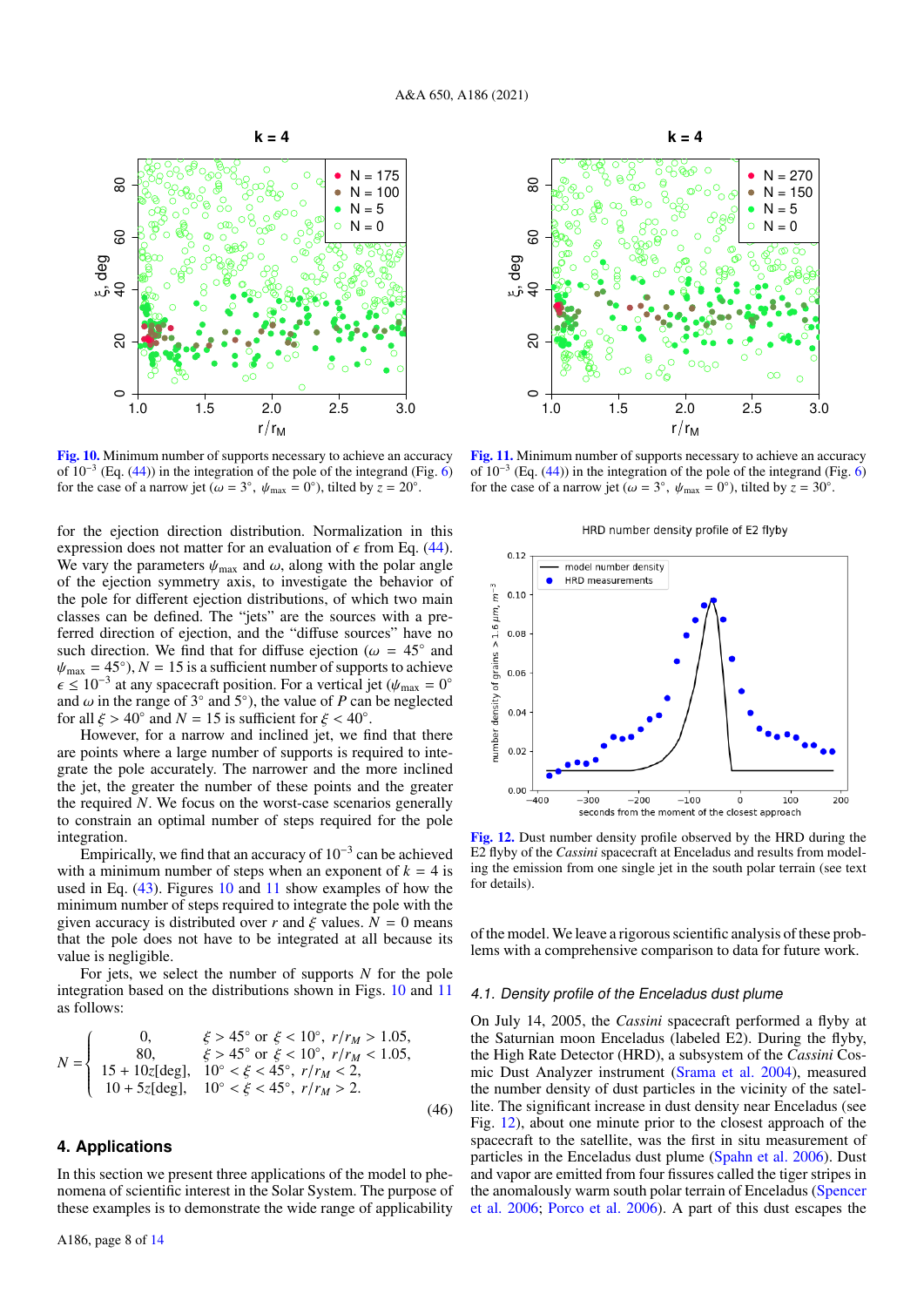

<span id="page-7-1"></span>[Fig. 10.](https://dexter.edpsciences.org/applet.php?DOI=10.1051/0004-6361/202140624&pdf_id=10) Minimum number of supports necessary to achieve an accuracy of  $10^{-3}$  (Eq. [\(44\)](#page-6-5)) in the integration of the pole of the integrand (Fig. [6\)](#page-6-1) for the case of a narrow jet ( $\omega = 3^\circ$ ,  $\psi_{\text{max}} = 0^\circ$ ), tilted by  $z = 20^\circ$ .

for the ejection direction distribution. Normalization in this expression does not matter for an evaluation of  $\epsilon$  from Eq. [\(44\)](#page-6-5). We vary the parameters  $\psi_{\text{max}}$  and  $\omega$ , along with the polar angle of the ejection symmetry axis, to investigate the behavior of the pole for different ejection distributions, of which two main classes can be defined. The "jets" are the sources with a preferred direction of ejection, and the "diffuse sources" have no such direction. We find that for diffuse ejection ( $\omega = 45^\circ$  and  $y_{\text{max}} = 45^\circ$ )  $N = 15$  is a sufficient number of supports to achieve  $\psi_{\text{max}} = 45^{\circ}$ ,  $N = 15$  is a sufficient number of supports to achieve  $\epsilon \le 10^{-3}$  at any spacecraft position. For a vertical jet  $(\psi_{\text{max}} = 0^{\circ})$  $\epsilon \leq 10^{-3}$  at any spacecraft position. For a vertical jet  $(\psi_{\text{max}} = 0^{\circ})$ <br>and  $\omega$  in the range of 3° and 5°) the value of P can be neglected and  $\omega$  in the range of 3° and 5°), the value of *P* can be neglected for all  $\xi > 40^\circ$  and  $N = 15$  is sufficient for  $\xi < 40^\circ$ for all  $\xi > 40^\circ$  and  $N = 15$  is sufficient for  $\xi < 40^\circ$ .<br>However, for a narrow and inclined jet, we fi

However, for a narrow and inclined jet, we find that there are points where a large number of supports is required to integrate the pole accurately. The narrower and the more inclined the jet, the greater the number of these points and the greater the required *N*. We focus on the worst-case scenarios generally to constrain an optimal number of steps required for the pole integration.

Empirically, we find that an accuracy of  $10^{-3}$  can be achieved with a minimum number of steps when an exponent of  $k = 4$  is used in Eq. [\(43\)](#page-5-4). Figures [10](#page-7-1) and [11](#page-7-2) show examples of how the minimum number of steps required to integrate the pole with the given accuracy is distributed over *r* and  $\xi$  values.  $N = 0$  means that the pole does not have to be integrated at all because its value is negligible.

For jets, we select the number of supports *N* for the pole integration based on the distributions shown in Figs. [10](#page-7-1) and [11](#page-7-2) as follows:

$$
N = \begin{cases} 0, & \xi > 45^{\circ} \text{ or } \xi < 10^{\circ}, r/r_M > 1.05, \\ 80, & \xi > 45^{\circ} \text{ or } \xi < 10^{\circ}, r/r_M < 1.05, \\ 15 + 10z[\text{deg}], & 10^{\circ} < \xi < 45^{\circ}, r/r_M < 2, \\ 10 + 5z[\text{deg}], & 10^{\circ} < \xi < 45^{\circ}, r/r_M > 2. \end{cases}
$$
(46)

# <span id="page-7-0"></span>**4. Applications**

In this section we present three applications of the model to phenomena of scientific interest in the Solar System. The purpose of these examples is to demonstrate the wide range of applicability



<span id="page-7-2"></span>[Fig. 11.](https://dexter.edpsciences.org/applet.php?DOI=10.1051/0004-6361/202140624&pdf_id=11) Minimum number of supports necessary to achieve an accuracy of  $10^{-3}$  (Eq. [\(44\)](#page-6-5)) in the integration of the pole of the integrand (Fig. [6\)](#page-6-1) for the case of a narrow jet ( $\omega = 3^\circ$ ,  $\psi_{\text{max}} = 0^\circ$ ), tilted by  $z = 30^\circ$ .





<span id="page-7-3"></span>[Fig. 12.](https://dexter.edpsciences.org/applet.php?DOI=10.1051/0004-6361/202140624&pdf_id=12) Dust number density profile observed by the HRD during the E2 flyby of the *Cassini* spacecraft at Enceladus and results from modeling the emission from one single jet in the south polar terrain (see text for details).

of the model. We leave a rigorous scientific analysis of these problems with a comprehensive comparison to data for future work.

#### <span id="page-7-4"></span>4.1. Density profile of the Enceladus dust plume

On July 14, 2005, the *Cassini* spacecraft performed a flyby at the Saturnian moon Enceladus (labeled E2). During the flyby, the High Rate Detector (HRD), a subsystem of the *Cassini* Cosmic Dust Analyzer instrument [\(Srama et al.](#page-12-10) [2004\)](#page-12-10), measured the number density of dust particles in the vicinity of the satellite. The significant increase in dust density near Enceladus (see Fig. [12\)](#page-7-3), about one minute prior to the closest approach of the spacecraft to the satellite, was the first in situ measurement of particles in the Enceladus dust plume [\(Spahn et al.](#page-12-3) [2006\)](#page-12-3). Dust and vapor are emitted from four fissures called the tiger stripes in the anomalously warm south polar terrain of Enceladus [\(Spencer](#page-12-11) [et al.](#page-12-11) [2006;](#page-12-11) [Porco et al.](#page-12-4) [2006\)](#page-12-4). A part of this dust escapes the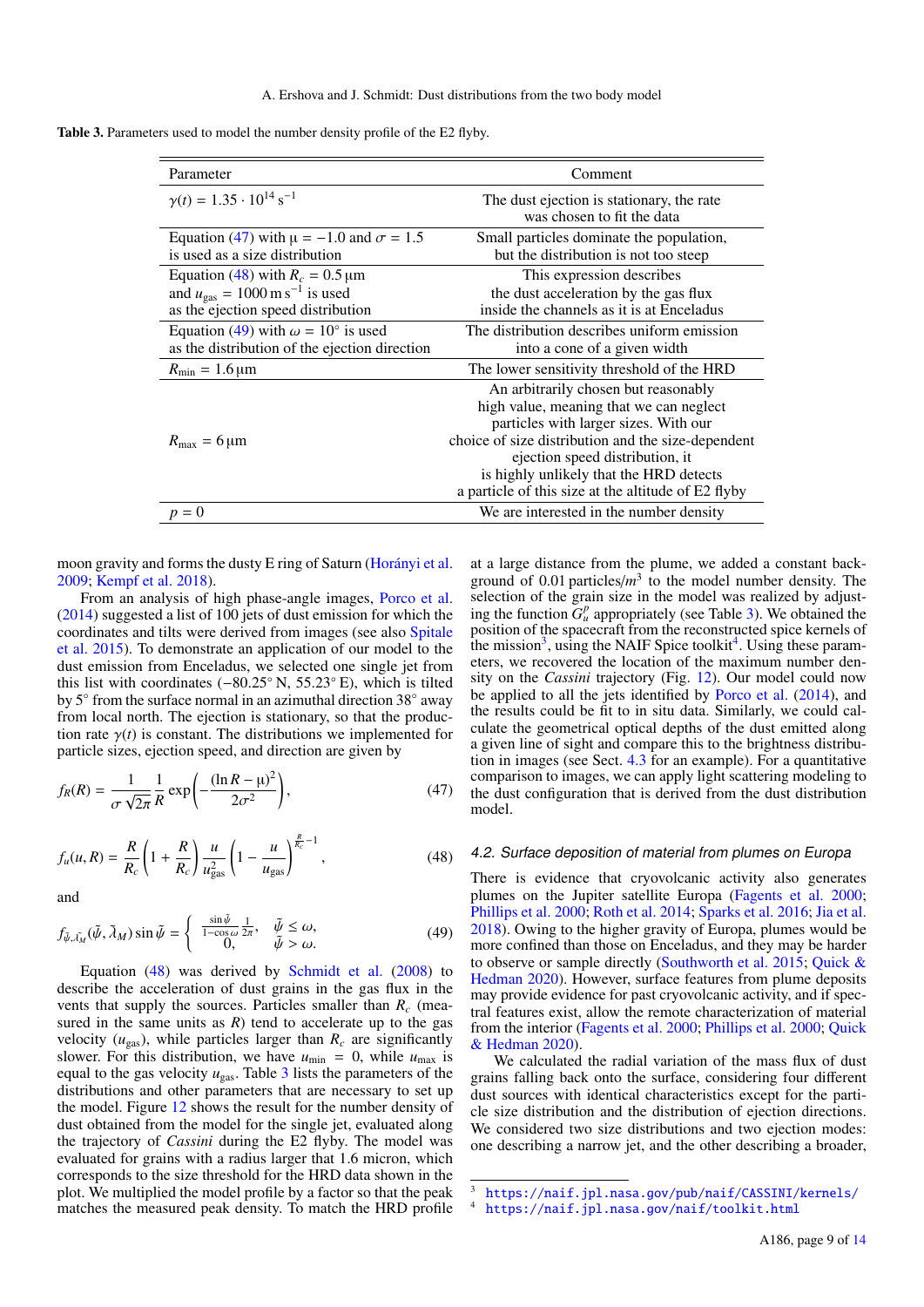<span id="page-8-3"></span>Table 3. Parameters used to model the number density profile of the E2 flyby.

| Parameter                                                                                                                                               | Comment                                                                                                                                                                                                                                                                                                             |
|---------------------------------------------------------------------------------------------------------------------------------------------------------|---------------------------------------------------------------------------------------------------------------------------------------------------------------------------------------------------------------------------------------------------------------------------------------------------------------------|
| $\gamma(t) = 1.35 \cdot 10^{14} \text{ s}^{-1}$                                                                                                         | The dust ejection is stationary, the rate<br>was chosen to fit the data                                                                                                                                                                                                                                             |
| Equation (47) with $\mu = -1.0$ and $\sigma = 1.5$<br>is used as a size distribution                                                                    | Small particles dominate the population,<br>but the distribution is not too steep                                                                                                                                                                                                                                   |
| Equation (48) with $R_c = 0.5 \,\text{\ensuremath{\mu}m}$<br>and $u_{\text{gas}} = 1000 \text{ m s}^{-1}$ is used<br>as the ejection speed distribution | This expression describes<br>the dust acceleration by the gas flux<br>inside the channels as it is at Enceladus                                                                                                                                                                                                     |
| Equation (49) with $\omega = 10^{\circ}$ is used<br>as the distribution of the ejection direction                                                       | The distribution describes uniform emission<br>into a cone of a given width                                                                                                                                                                                                                                         |
| $R_{\rm min} = 1.6 \,\mu m$                                                                                                                             | The lower sensitivity threshold of the HRD                                                                                                                                                                                                                                                                          |
| $R_{\text{max}} = 6 \,\mu\text{m}$                                                                                                                      | An arbitrarily chosen but reasonably<br>high value, meaning that we can neglect<br>particles with larger sizes. With our<br>choice of size distribution and the size-dependent<br>ejection speed distribution, it<br>is highly unlikely that the HRD detects<br>a particle of this size at the altitude of E2 flyby |
| $= 0$                                                                                                                                                   | We are interested in the number density                                                                                                                                                                                                                                                                             |

moon gravity and forms the dusty E ring of Saturn [\(Horányi et al.](#page-12-12) [2009;](#page-12-12) [Kempf et al.](#page-12-13) [2018\)](#page-12-13).

From an analysis of high phase-angle images, [Porco et al.](#page-12-14) [\(2014\)](#page-12-14) suggested a list of 100 jets of dust emission for which the coordinates and tilts were derived from images (see also [Spitale](#page-12-15) [et al.](#page-12-15) [2015\)](#page-12-15). To demonstrate an application of our model to the dust emission from Enceladus, we selected one single jet from this list with coordinates (−80.25◦ N, 55.23◦ E), which is tilted by 5° from the surface normal in an azimuthal direction 38° away from local north. The ejection is stationary, so that the production rate  $\gamma(t)$  is constant. The distributions we implemented for particle sizes, ejection speed, and direction are given by

$$
f_R(R) = \frac{1}{\sigma \sqrt{2\pi}} \frac{1}{R} \exp\left(-\frac{(\ln R - \mu)^2}{2\sigma^2}\right),\tag{47}
$$

<span id="page-8-1"></span>
$$
f_u(u, R) = \frac{R}{R_c} \left( 1 + \frac{R}{R_c} \right) \frac{u}{u_{\text{gas}}^2} \left( 1 - \frac{u}{u_{\text{gas}}} \right)^{\frac{R}{R_c} - 1},\tag{48}
$$

<span id="page-8-2"></span>and

$$
f_{\tilde{\psi},\tilde{\lambda_M}}(\tilde{\psi},\tilde{\lambda}_M)\sin\tilde{\psi} = \begin{cases} \frac{\sin\tilde{\psi}}{1-\cos\omega}\frac{1}{2\pi}, & \tilde{\psi} \le \omega, \\ 0, & \tilde{\psi} > \omega. \end{cases}
$$
(49)

Equation [\(48\)](#page-8-1) was derived by [Schmidt et al.](#page-12-9) [\(2008\)](#page-12-9) to describe the acceleration of dust grains in the gas flux in the vents that supply the sources. Particles smaller than *R<sup>c</sup>* (measured in the same units as  $R$ ) tend to accelerate up to the gas velocity ( $u_{\text{gas}}$ ), while particles larger than  $R_c$  are significantly slower. For this distribution, we have  $u_{\text{min}} = 0$ , while  $u_{\text{max}}$  is equal to the gas velocity  $u_{\text{gas}}$ . Table  $3$  lists the parameters of the distributions and other parameters that are necessary to set up the model. Figure [12](#page-7-3) shows the result for the number density of dust obtained from the model for the single jet, evaluated along the trajectory of *Cassini* during the E2 flyby. The model was evaluated for grains with a radius larger that 1.6 micron, which corresponds to the size threshold for the HRD data shown in the plot. We multiplied the model profile by a factor so that the peak matches the measured peak density. To match the HRD profile

at a large distance from the plume, we added a constant background of  $0.01$  particles/ $m<sup>3</sup>$  to the model number density. The selection of the grain size in the model was realized by adjusting the function  $G^p_\mu$  appropriately (see Table [3\)](#page-8-3). We obtained the position of the spacecraft from the reconstructed spice kernels of the mission<sup>[3](#page-8-4)</sup>, using the NAIF Spice toolkit<sup>[4](#page-8-5)</sup>. Using these parameters, we recovered the location of the maximum number density on the *Cassini* trajectory (Fig. [12\)](#page-7-3). Our model could now be applied to all the jets identified by [Porco et al.](#page-12-14) [\(2014\)](#page-12-14), and the results could be fit to in situ data. Similarly, we could calculate the geometrical optical depths of the dust emitted along a given line of sight and compare this to the brightness distribution in images (see Sect. [4.3](#page-10-0) for an example). For a quantitative comparison to images, we can apply light scattering modeling to the dust configuration that is derived from the dust distribution model.

#### <span id="page-8-6"></span><span id="page-8-0"></span>4.2. Surface deposition of material from plumes on Europa

There is evidence that cryovolcanic activity also generates plumes on the Jupiter satellite Europa [\(Fagents et al.](#page-12-16) [2000;](#page-12-16) [Phillips et al.](#page-12-17) [2000;](#page-12-17) [Roth et al.](#page-12-18) [2014;](#page-12-18) [Sparks et al.](#page-12-19) [2016;](#page-12-19) [Jia et al.](#page-12-20) [2018\)](#page-12-20). Owing to the higher gravity of Europa, plumes would be more confined than those on Enceladus, and they may be harder to observe or sample directly [\(Southworth et al.](#page-12-5) [2015;](#page-12-5) [Quick &](#page-12-21) [Hedman](#page-12-21) [2020\)](#page-12-21). However, surface features from plume deposits may provide evidence for past cryovolcanic activity, and if spectral features exist, allow the remote characterization of material from the interior [\(Fagents et al.](#page-12-16) [2000;](#page-12-16) [Phillips et al.](#page-12-17) [2000;](#page-12-17) [Quick](#page-12-21) [& Hedman](#page-12-21) [2020\)](#page-12-21).

We calculated the radial variation of the mass flux of dust grains falling back onto the surface, considering four different dust sources with identical characteristics except for the particle size distribution and the distribution of ejection directions. We considered two size distributions and two ejection modes: one describing a narrow jet, and the other describing a broader,

<span id="page-8-4"></span><sup>3</sup> <https://naif.jpl.nasa.gov/pub/naif/CASSINI/kernels/>

<span id="page-8-5"></span><sup>4</sup> <https://naif.jpl.nasa.gov/naif/toolkit.html>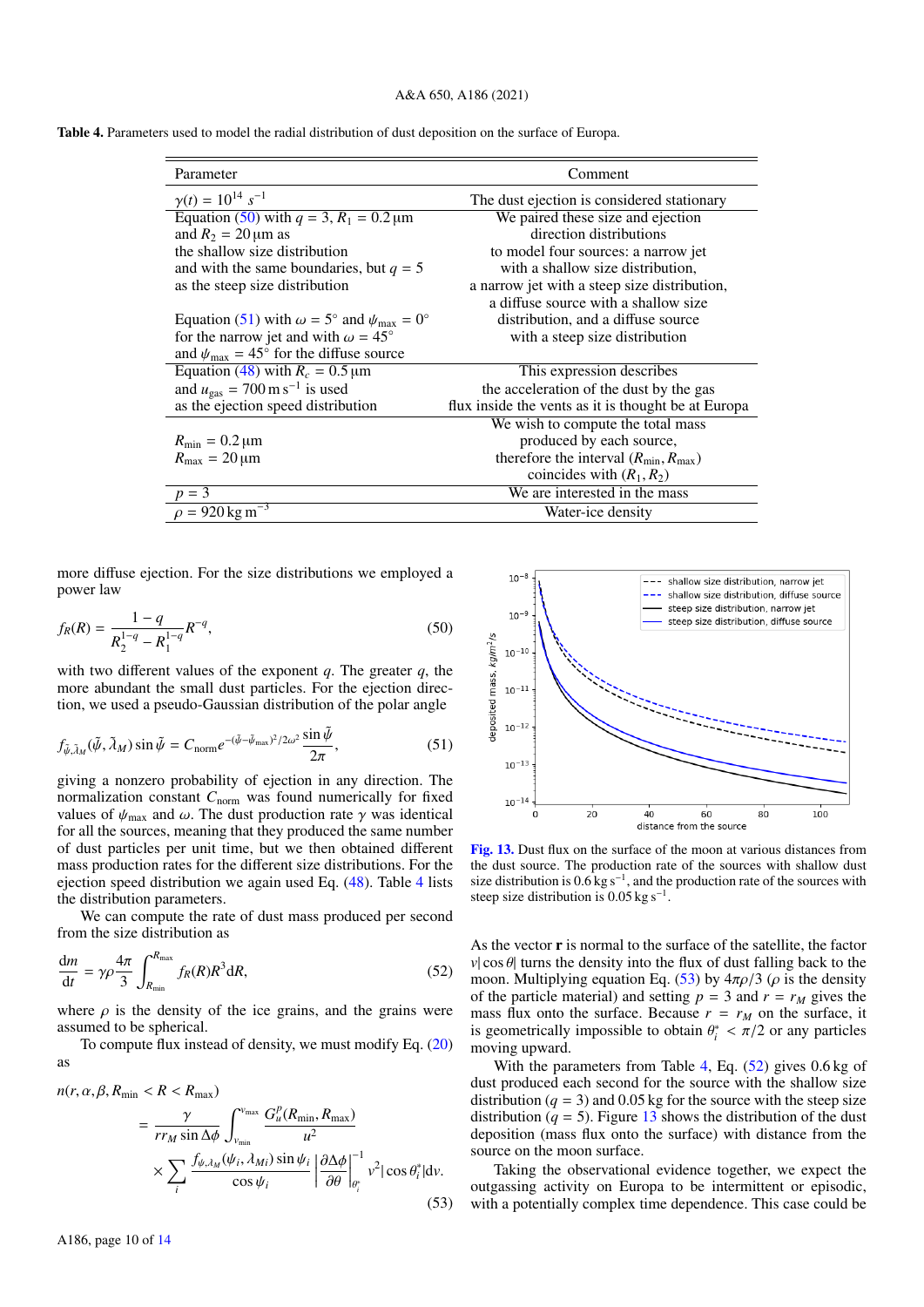<span id="page-9-2"></span>Table 4. Parameters used to model the radial distribution of dust deposition on the surface of Europa.

| Parameter                                                                   | Comment                                             |
|-----------------------------------------------------------------------------|-----------------------------------------------------|
| $\gamma(t) = 10^{14} s^{-1}$                                                | The dust ejection is considered stationary          |
| Equation (50) with $q = 3$ , $R_1 = 0.2 \,\text{\mu m}$                     | We paired these size and ejection                   |
| and $R_2 = 20 \,\mu m$ as                                                   | direction distributions                             |
| the shallow size distribution                                               | to model four sources: a narrow jet                 |
| and with the same boundaries, but $q = 5$                                   | with a shallow size distribution.                   |
| as the steep size distribution                                              | a narrow jet with a steep size distribution,        |
|                                                                             | a diffuse source with a shallow size                |
| Equation (51) with $\omega = 5^{\circ}$ and $\psi_{\text{max}} = 0^{\circ}$ | distribution, and a diffuse source                  |
| for the narrow jet and with $\omega = 45^{\circ}$                           | with a steep size distribution                      |
| and $\psi_{\text{max}} = 45^{\circ}$ for the diffuse source                 |                                                     |
| Equation (48) with $R_c = 0.5 \,\text{\ensuremath{\mu}m}$                   | This expression describes                           |
| and $u_{\text{gas}} = 700 \text{ m s}^{-1}$ is used                         | the acceleration of the dust by the gas             |
| as the ejection speed distribution                                          | flux inside the vents as it is thought be at Europa |
|                                                                             | We wish to compute the total mass                   |
| $R_{\min} = 0.2 \,\mathrm{\mu m}$                                           | produced by each source,                            |
| $R_{\text{max}} = 20 \,\mu\text{m}$                                         | therefore the interval $(R_{min}, R_{max})$         |
|                                                                             | coincides with $(R_1, R_2)$                         |
| $p = 3$                                                                     | We are interested in the mass                       |
| $\rho = 920 \,\mathrm{kg \, m}^{-3}$                                        | Water-ice density                                   |
|                                                                             |                                                     |

<span id="page-9-0"></span>more diffuse ejection. For the size distributions we employed a power law

$$
f_R(R) = \frac{1 - q}{R_2^{1 - q} - R_1^{1 - q}} R^{-q},\tag{50}
$$

with two different values of the exponent *q*. The greater *q*, the more abundant the small dust particles. For the ejection direction, we used a pseudo-Gaussian distribution of the polar angle

$$
f_{\tilde{\psi}, \tilde{\lambda}_M}(\tilde{\psi}, \tilde{\lambda}_M) \sin \tilde{\psi} = C_{\text{norm}} e^{-(\tilde{\psi} - \tilde{\psi}_{\text{max}})^2 / 2\omega^2} \frac{\sin \tilde{\psi}}{2\pi},
$$
(51)

giving a nonzero probability of ejection in any direction. The normalization constant *C*norm was found numerically for fixed values of  $\psi_{\text{max}}$  and  $\omega$ . The dust production rate  $\gamma$  was identical for all the sources, meaning that they produced the same number of dust particles per unit time, but we then obtained different mass production rates for the different size distributions. For the ejection speed distribution we again used Eq. [\(48\)](#page-8-1). Table [4](#page-9-2) lists the distribution parameters.

<span id="page-9-4"></span>We can compute the rate of dust mass produced per second from the size distribution as

$$
\frac{dm}{dt} = \gamma \rho \frac{4\pi}{3} \int_{R_{\text{min}}}^{R_{\text{max}}} f_R(R) R^3 dR,
$$
\n(52)

where  $\rho$  is the density of the ice grains, and the grains were assumed to be spherical.

To compute flux instead of density, we must modify Eq. [\(20\)](#page-3-2) as

$$
n(r, \alpha, \beta, R_{\min} < R < R_{\max})
$$
\n
$$
= \frac{\gamma}{rr_M \sin \Delta \phi} \int_{v_{\min}}^{v_{\max}} \frac{G_u^p(R_{\min}, R_{\max})}{u^2}
$$
\n
$$
\times \sum_i \frac{f_{\psi, \lambda_M}(\psi_i, \lambda_{Mi}) \sin \psi_i}{\cos \psi_i} \left| \frac{\partial \Delta \phi}{\partial \theta} \right|_{\theta_i^*}^{-1} v^2 |\cos \theta_i^*| dv. \tag{53}
$$

<span id="page-9-1"></span>

<span id="page-9-5"></span>[Fig. 13.](https://dexter.edpsciences.org/applet.php?DOI=10.1051/0004-6361/202140624&pdf_id=13) Dust flux on the surface of the moon at various distances from the dust source. The production rate of the sources with shallow dust size distribution is  $0.6 \text{ kg s}^{-1}$ , and the production rate of the sources with steep size distribution is 0.05 kg s<sup>-1</sup>.

As the vector r is normal to the surface of the satellite, the factor *v* $| \cos \theta |$  turns the density into the flux of dust falling back to the moon. Multiplying equation Eq. [\(53\)](#page-9-3) by  $4\pi\rho/3$  ( $\rho$  is the density of the particle material) and setting  $p = 3$  and  $r = r_M$  gives the mass flux onto the surface. Because  $r = r_M$  on the surface, it is geometrically impossible to obtain  $\theta_i^* < \pi/2$  or any particles moving upward moving upward.

With the parameters from Table [4,](#page-9-2) Eq. [\(52\)](#page-9-4) gives 0.6 kg of dust produced each second for the source with the shallow size distribution ( $q = 3$ ) and 0.05 kg for the source with the steep size distribution ( $q = 5$ ). Figure [13](#page-9-5) shows the distribution of the dust deposition (mass flux onto the surface) with distance from the source on the moon surface.

<span id="page-9-3"></span>Taking the observational evidence together, we expect the outgassing activity on Europa to be intermittent or episodic, with a potentially complex time dependence. This case could be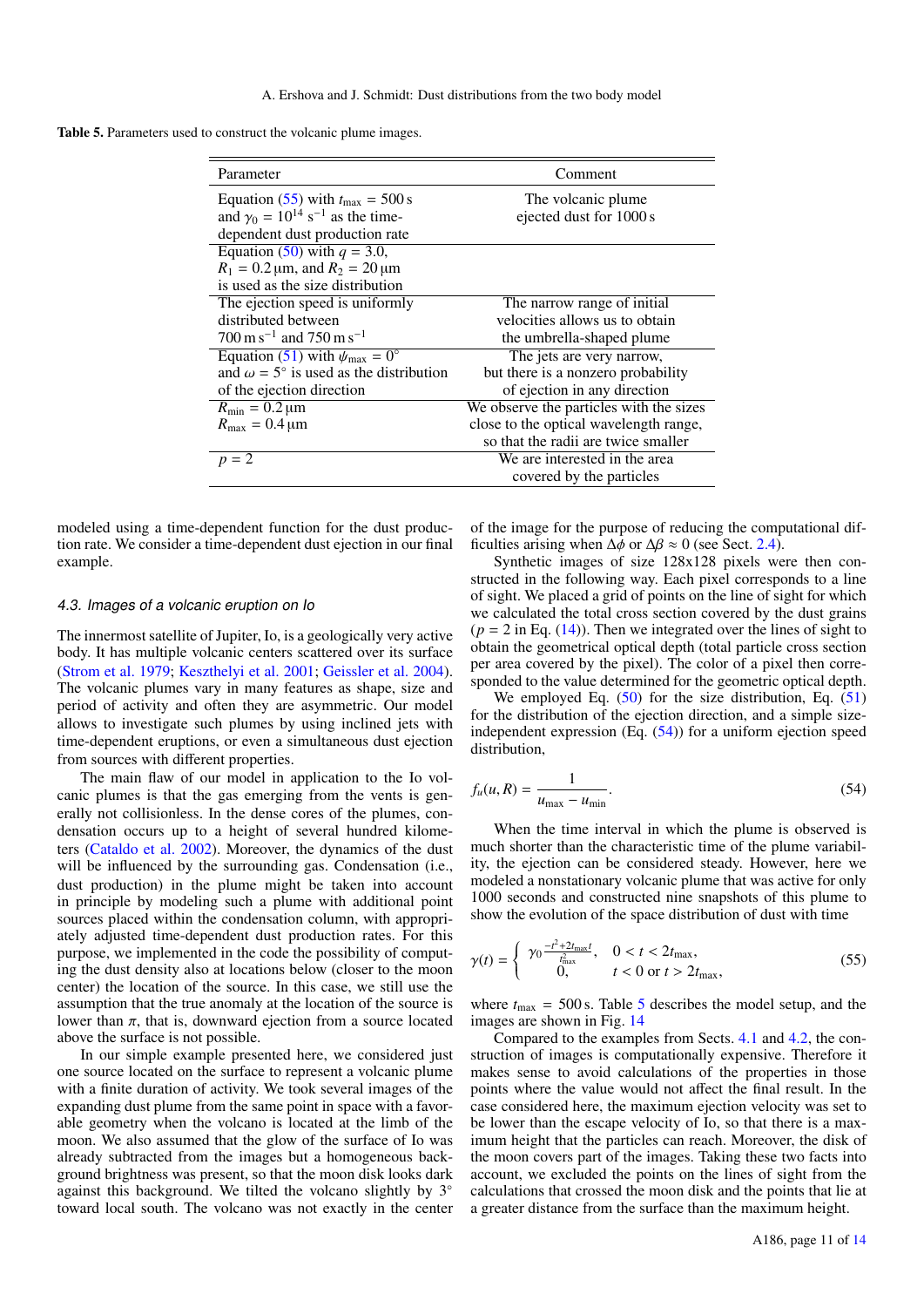<span id="page-10-3"></span>Table 5. Parameters used to construct the volcanic plume images.

| Parameter                                                  | Comment                                 |
|------------------------------------------------------------|-----------------------------------------|
| Equation (55) with $t_{\text{max}} = 500 \text{ s}$        | The volcanic plume.                     |
| and $\gamma_0 = 10^{14}$ s <sup>-1</sup> as the time-      | ejected dust for 1000 s                 |
| dependent dust production rate                             |                                         |
| Equation (50) with $q = 3.0$ ,                             |                                         |
| $R_1 = 0.2 \,\text{\mu m}$ , and $R_2 = 20 \,\text{\mu m}$ |                                         |
| is used as the size distribution                           |                                         |
| The ejection speed is uniformly                            | The narrow range of initial             |
| distributed between                                        | velocities allows us to obtain          |
| $700 \text{ m s}^{-1}$ and $750 \text{ m s}^{-1}$          | the umbrella-shaped plume               |
| Equation (51) with $\psi_{\text{max}} = 0^{\circ}$         | The jets are very narrow,               |
| and $\omega = 5^{\circ}$ is used as the distribution       | but there is a nonzero probability      |
| of the ejection direction                                  | of ejection in any direction            |
| $R_{\text{min}} = 0.2 \,\mu\text{m}$                       | We observe the particles with the sizes |
| $R_{\text{max}} = 0.4 \,\mu\text{m}$                       | close to the optical wavelength range,  |
|                                                            | so that the radii are twice smaller     |
| $p = 2$                                                    | We are interested in the area           |
|                                                            | covered by the particles                |

modeled using a time-dependent function for the dust production rate. We consider a time-dependent dust ejection in our final example.

### <span id="page-10-0"></span>4.3. Images of a volcanic eruption on Io

The innermost satellite of Jupiter, Io, is a geologically very active body. It has multiple volcanic centers scattered over its surface [\(Strom et al.](#page-12-22) [1979;](#page-12-22) [Keszthelyi et al.](#page-12-23) [2001;](#page-12-23) [Geissler et al.](#page-12-24) [2004\)](#page-12-24). The volcanic plumes vary in many features as shape, size and period of activity and often they are asymmetric. Our model allows to investigate such plumes by using inclined jets with time-dependent eruptions, or even a simultaneous dust ejection from sources with different properties.

The main flaw of our model in application to the Io volcanic plumes is that the gas emerging from the vents is generally not collisionless. In the dense cores of the plumes, condensation occurs up to a height of several hundred kilometers [\(Cataldo et al.](#page-12-25) [2002\)](#page-12-25). Moreover, the dynamics of the dust will be influenced by the surrounding gas. Condensation *(i.e.,* dust production) in the plume might be taken into account in principle by modeling such a plume with additional point sources placed within the condensation column, with appropriately adjusted time-dependent dust production rates. For this purpose, we implemented in the code the possibility of computing the dust density also at locations below (closer to the moon center) the location of the source. In this case, we still use the assumption that the true anomaly at the location of the source is lower than  $\pi$ , that is, downward ejection from a source located above the surface is not possible.

In our simple example presented here, we considered just one source located on the surface to represent a volcanic plume with a finite duration of activity. We took several images of the expanding dust plume from the same point in space with a favorable geometry when the volcano is located at the limb of the moon. We also assumed that the glow of the surface of Io was already subtracted from the images but a homogeneous background brightness was present, so that the moon disk looks dark against this background. We tilted the volcano slightly by 3◦ toward local south. The volcano was not exactly in the center

of the image for the purpose of reducing the computational difficulties arising when  $\Delta \phi$  or  $\Delta \beta \approx 0$  (see Sect. [2.4\)](#page-5-3).

Synthetic images of size 128x128 pixels were then constructed in the following way. Each pixel corresponds to a line of sight. We placed a grid of points on the line of sight for which we calculated the total cross section covered by the dust grains  $(p = 2$  in Eq.  $(14)$ ). Then we integrated over the lines of sight to obtain the geometrical optical depth (total particle cross section per area covered by the pixel). The color of a pixel then corresponded to the value determined for the geometric optical depth.

We employed Eq.  $(50)$  for the size distribution, Eq.  $(51)$ for the distribution of the ejection direction, and a simple sizeindependent expression  $(Eq. (54))$  $(Eq. (54))$  $(Eq. (54))$  for a uniform ejection speed distribution,

<span id="page-10-2"></span>
$$
f_u(u, R) = \frac{1}{u_{\text{max}} - u_{\text{min}}}.
$$
\n(54)

When the time interval in which the plume is observed is much shorter than the characteristic time of the plume variability, the ejection can be considered steady. However, here we modeled a nonstationary volcanic plume that was active for only 1000 seconds and constructed nine snapshots of this plume to show the evolution of the space distribution of dust with time

<span id="page-10-1"></span>
$$
\gamma(t) = \begin{cases}\n\gamma_0 \frac{-t^2 + 2t_{\text{max}}t}{t_{\text{max}}^2}, & 0 < t < 2t_{\text{max}}, \\
0, & t < 0 \text{ or } t > 2t_{\text{max}},\n\end{cases}
$$
\n(55)

where  $t_{\text{max}} = 500$  $t_{\text{max}} = 500$  $t_{\text{max}} = 500$  s. Table 5 describes the model setup, and the images are shown in Fig. [14](#page-11-0)

Compared to the examples from Sects. [4.1](#page-7-4) and [4.2,](#page-8-6) the construction of images is computationally expensive. Therefore it makes sense to avoid calculations of the properties in those points where the value would not affect the final result. In the case considered here, the maximum ejection velocity was set to be lower than the escape velocity of Io, so that there is a maximum height that the particles can reach. Moreover, the disk of the moon covers part of the images. Taking these two facts into account, we excluded the points on the lines of sight from the calculations that crossed the moon disk and the points that lie at a greater distance from the surface than the maximum height.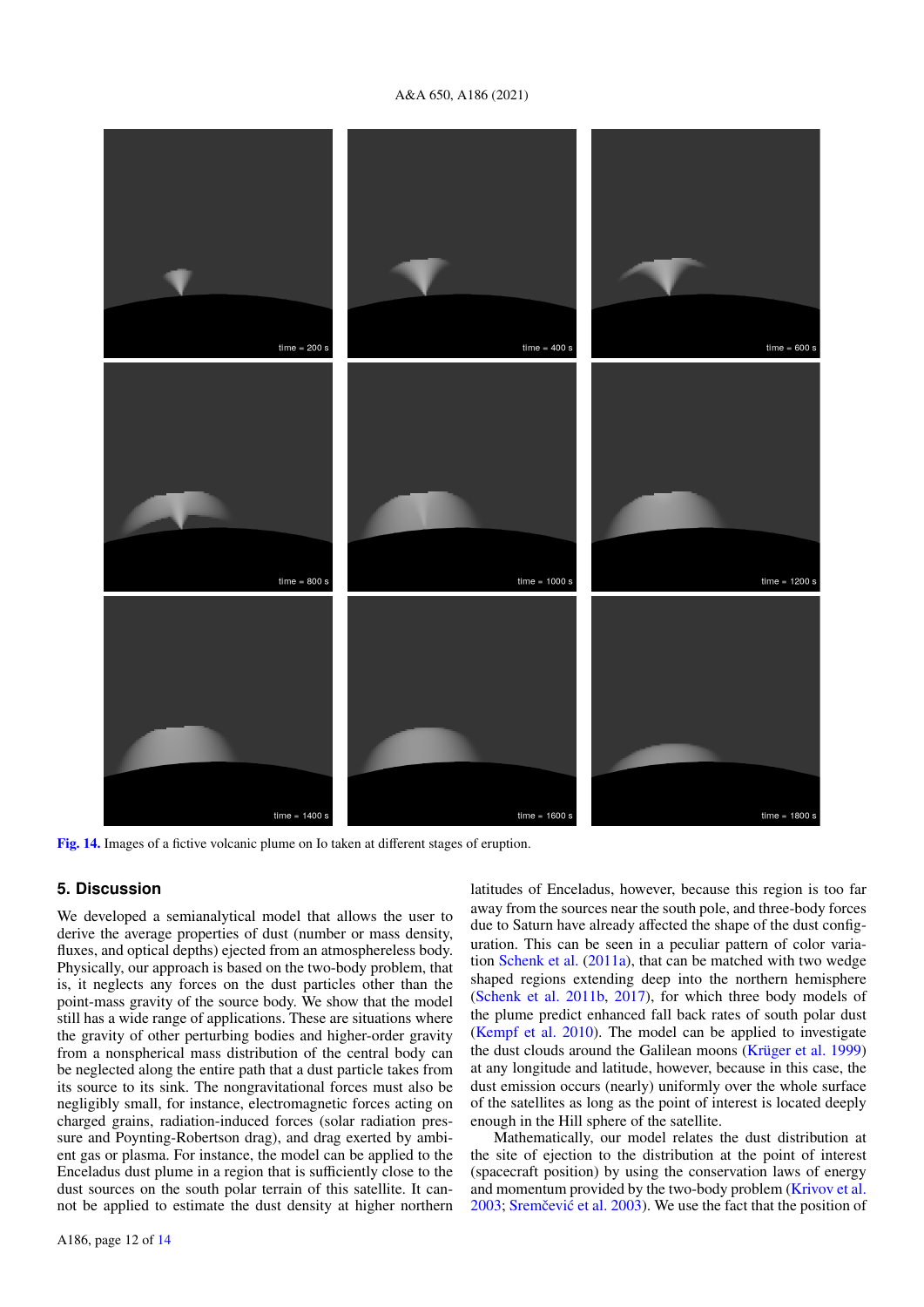# A&A 650, A186 (2021)



<span id="page-11-0"></span>[Fig. 14.](https://dexter.edpsciences.org/applet.php?DOI=10.1051/0004-6361/202140624&pdf_id=14) Images of a fictive volcanic plume on Io taken at different stages of eruption.

# **5. Discussion**

We developed a semianalytical model that allows the user to derive the average properties of dust (number or mass density, fluxes, and optical depths) ejected from an atmosphereless body. Physically, our approach is based on the two-body problem, that is, it neglects any forces on the dust particles other than the point-mass gravity of the source body. We show that the model still has a wide range of applications. These are situations where the gravity of other perturbing bodies and higher-order gravity from a nonspherical mass distribution of the central body can be neglected along the entire path that a dust particle takes from its source to its sink. The nongravitational forces must also be negligibly small, for instance, electromagnetic forces acting on charged grains, radiation-induced forces (solar radiation pressure and Poynting-Robertson drag), and drag exerted by ambient gas or plasma. For instance, the model can be applied to the Enceladus dust plume in a region that is sufficiently close to the dust sources on the south polar terrain of this satellite. It cannot be applied to estimate the dust density at higher northern

away from the sources near the south pole, and three-body forces due to Saturn have already affected the shape of the dust configuration. This can be seen in a peculiar pattern of color variation [Schenk et al.](#page-12-26) [\(2011a\)](#page-12-26), that can be matched with two wedge shaped regions extending deep into the northern hemisphere [\(Schenk et al.](#page-12-27) [2011b,](#page-12-27) [2017\)](#page-12-28), for which three body models of the plume predict enhanced fall back rates of south polar dust [\(Kempf et al.](#page-12-29) [2010\)](#page-12-29). The model can be applied to investigate the dust clouds around the Galilean moons [\(Krüger et al.](#page-12-0) [1999\)](#page-12-0) at any longitude and latitude, however, because in this case, the dust emission occurs (nearly) uniformly over the whole surface of the satellites as long as the point of interest is located deeply enough in the Hill sphere of the satellite.

latitudes of Enceladus, however, because this region is too far

Mathematically, our model relates the dust distribution at the site of ejection to the distribution at the point of interest (spacecraft position) by using the conservation laws of energy and momentum provided by the two-body problem [\(Krivov et al.](#page-12-6) [2003;](#page-12-6) Sremčević et al. [2003\)](#page-12-7). We use the fact that the position of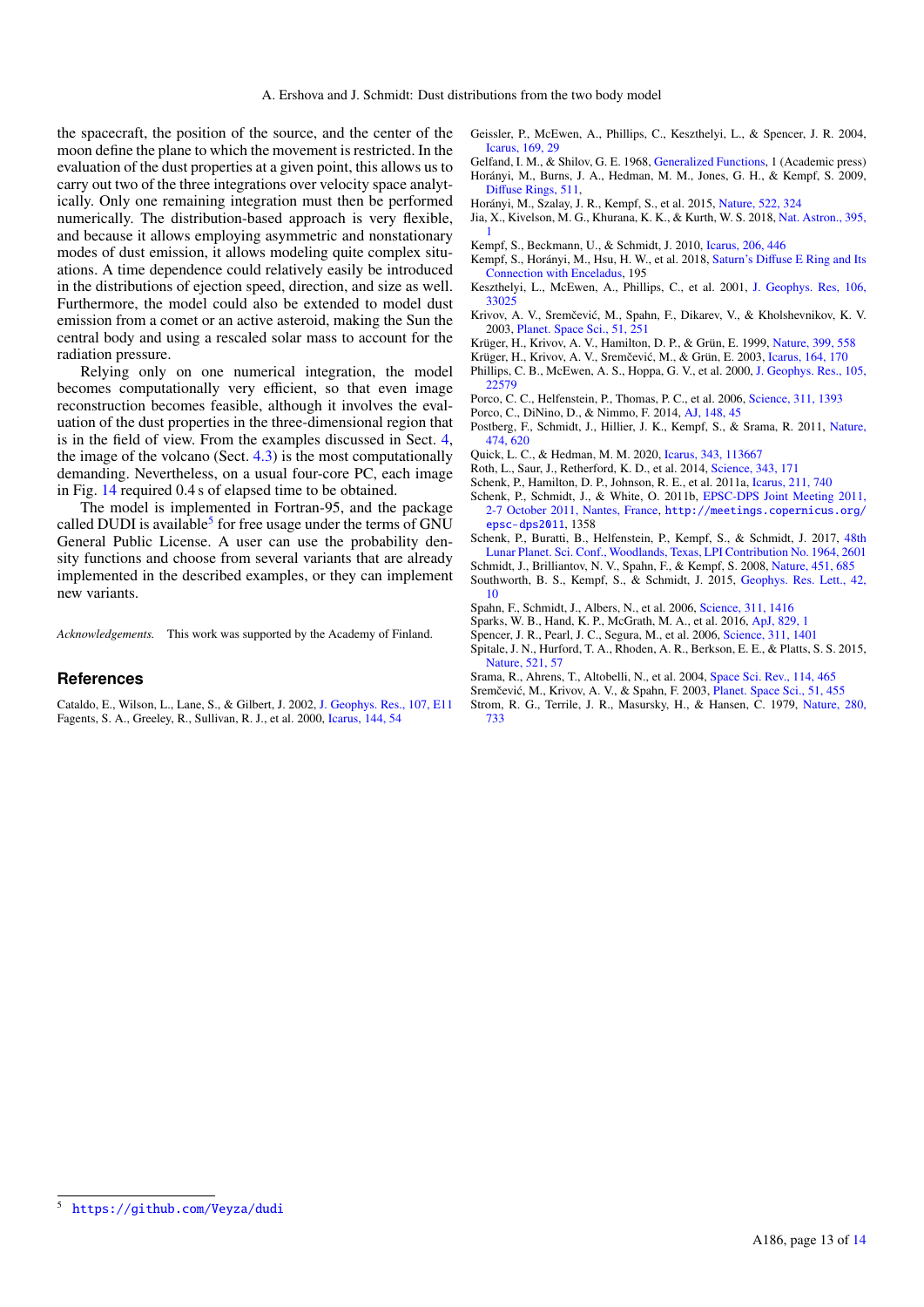the spacecraft, the position of the source, and the center of the moon define the plane to which the movement is restricted. In the evaluation of the dust properties at a given point, this allows us to carry out two of the three integrations over velocity space analytically. Only one remaining integration must then be performed numerically. The distribution-based approach is very flexible, and because it allows employing asymmetric and nonstationary modes of dust emission, it allows modeling quite complex situations. A time dependence could relatively easily be introduced in the distributions of ejection speed, direction, and size as well. Furthermore, the model could also be extended to model dust emission from a comet or an active asteroid, making the Sun the central body and using a rescaled solar mass to account for the radiation pressure.

Relying only on one numerical integration, the model becomes computationally very efficient, so that even image reconstruction becomes feasible, although it involves the evaluation of the dust properties in the three-dimensional region that is in the field of view. From the examples discussed in Sect. [4,](#page-7-0) the image of the volcano (Sect. [4.3\)](#page-10-0) is the most computationally demanding. Nevertheless, on a usual four-core PC, each image in Fig. [14](#page-11-0) required 0.4 s of elapsed time to be obtained.

The model is implemented in Fortran-95, and the package called DUDI is available<sup>[5](#page-12-30)</sup> for free usage under the terms of GNU General Public License. A user can use the probability density functions and choose from several variants that are already implemented in the described examples, or they can implement new variants.

*Acknowledgements.* This work was supported by the Academy of Finland.

## **References**

<span id="page-12-25"></span><span id="page-12-16"></span>Cataldo, E., Wilson, L., Lane, S., & Gilbert, J. 2002, [J. Geophys. Res., 107, E11](http://linker.aanda.org/10.1051/0004-6361/202140624/1) Fagents, S. A., Greeley, R., Sullivan, R. J., et al. 2000, [Icarus, 144, 54](http://linker.aanda.org/10.1051/0004-6361/202140624/2)

- <span id="page-12-24"></span>Geissler, P., McEwen, A., Phillips, C., Keszthelyi, L., & Spencer, J. R. 2004, [Icarus, 169, 29](http://linker.aanda.org/10.1051/0004-6361/202140624/3)
- <span id="page-12-31"></span><span id="page-12-12"></span>Gelfand, I. M., & Shilov, G. E. 1968, [Generalized Functions,](http://linker.aanda.org/10.1051/0004-6361/202140624/4) 1 (Academic press) Horányi, M., Burns, J. A., Hedman, M. M., Jones, G. H., & Kempf, S. 2009, Diff[use Rings, 511,](http://linker.aanda.org/10.1051/0004-6361/202140624/5)
- <span id="page-12-2"></span>Horányi, M., Szalay, J. R., Kempf, S., et al. 2015, [Nature, 522, 324](http://linker.aanda.org/10.1051/0004-6361/202140624/6)
- <span id="page-12-20"></span>Jia, X., Kivelson, M. G., Khurana, K. K., & Kurth, W. S. 2018, [Nat. Astron., 395,](http://linker.aanda.org/10.1051/0004-6361/202140624/7)
- <span id="page-12-29"></span>[1](http://linker.aanda.org/10.1051/0004-6361/202140624/7) Kempf, S., Beckmann, U., & Schmidt, J. 2010, [Icarus, 206, 446](http://linker.aanda.org/10.1051/0004-6361/202140624/8)
- <span id="page-12-13"></span>Kempf, S., Horányi, M., Hsu, H. W., et al. 2018, Saturn's Diff[use E Ring and Its](http://linker.aanda.org/10.1051/0004-6361/202140624/9)
- [Connection with Enceladus,](http://linker.aanda.org/10.1051/0004-6361/202140624/9) 195 Keszthelyi, L., McEwen, A., Phillips, C., et al. 2001, [J. Geophys. Res, 106,](http://linker.aanda.org/10.1051/0004-6361/202140624/10)
- <span id="page-12-23"></span>[33025](http://linker.aanda.org/10.1051/0004-6361/202140624/10)
- <span id="page-12-6"></span>Krivov, A. V., Sremčević, M., Spahn, F., Dikarev, V., & Kholshevnikov, K. V. 2003, [Planet. Space Sci., 51, 251](http://linker.aanda.org/10.1051/0004-6361/202140624/11)
- <span id="page-12-0"></span>Krüger, H., Krivov, A. V., Hamilton, D. P., & Grün, E. 1999, [Nature, 399, 558](http://linker.aanda.org/10.1051/0004-6361/202140624/12)
- <span id="page-12-1"></span>Krüger, H., Krivov, A. V., Sremčević, M., & Grün, E. 2003, [Icarus, 164, 170](http://linker.aanda.org/10.1051/0004-6361/202140624/13)
- <span id="page-12-17"></span>Phillips, C. B., McEwen, A. S., Hoppa, G. V., et al. 2000, [J. Geophys. Res., 105,](http://linker.aanda.org/10.1051/0004-6361/202140624/14) [22579](http://linker.aanda.org/10.1051/0004-6361/202140624/14)
- <span id="page-12-4"></span>Porco, C. C., Helfenstein, P., Thomas, P. C., et al. 2006, [Science, 311, 1393](http://linker.aanda.org/10.1051/0004-6361/202140624/15)
- <span id="page-12-14"></span>Porco, C., DiNino, D., & Nimmo, F. 2014, [AJ, 148, 45](http://linker.aanda.org/10.1051/0004-6361/202140624/16)
- <span id="page-12-8"></span>Postberg, F., Schmidt, J., Hillier, J. K., Kempf, S., & Srama, R. 2011, [Nature,](http://linker.aanda.org/10.1051/0004-6361/202140624/17) [474, 620](http://linker.aanda.org/10.1051/0004-6361/202140624/17)
- <span id="page-12-21"></span>Quick, L. C., & Hedman, M. M. 2020, [Icarus, 343, 113667](http://linker.aanda.org/10.1051/0004-6361/202140624/18)
- <span id="page-12-18"></span>Roth, L., Saur, J., Retherford, K. D., et al. 2014, [Science, 343, 171](http://linker.aanda.org/10.1051/0004-6361/202140624/19)
- <span id="page-12-26"></span>Schenk, P., Hamilton, D. P., Johnson, R. E., et al. 2011a, [Icarus, 211, 740](http://linker.aanda.org/10.1051/0004-6361/202140624/20)
- <span id="page-12-27"></span>Schenk, P., Schmidt, J., & White, O. 2011b, [EPSC-DPS Joint Meeting 2011,](http://linker.aanda.org/10.1051/0004-6361/202140624/21) [2-7 October 2011, Nantes, France,](http://linker.aanda.org/10.1051/0004-6361/202140624/21) [http://meetings.copernicus.org/](http://meetings.copernicus.org/epsc-dps2011) [epsc-dps2011](http://meetings.copernicus.org/epsc-dps2011), 1358
- <span id="page-12-28"></span>Schenk, P., Buratti, B., Helfenstein, P., Kempf, S., & Schmidt, J. 2017, [48th](http://linker.aanda.org/10.1051/0004-6361/202140624/22) [Lunar Planet. Sci. Conf., Woodlands, Texas, LPI Contribution No. 1964, 2601](http://linker.aanda.org/10.1051/0004-6361/202140624/22)
- <span id="page-12-9"></span><span id="page-12-5"></span>Schmidt, J., Brilliantov, N. V., Spahn, F., & Kempf, S. 2008, [Nature, 451, 685](http://linker.aanda.org/10.1051/0004-6361/202140624/23) Southworth, B. S., Kempf, S., & Schmidt, J. 2015, [Geophys. Res. Lett., 42,](http://linker.aanda.org/10.1051/0004-6361/202140624/24)
- [10](http://linker.aanda.org/10.1051/0004-6361/202140624/24)
- <span id="page-12-3"></span>Spahn, F., Schmidt, J., Albers, N., et al. 2006, [Science, 311, 1416](http://linker.aanda.org/10.1051/0004-6361/202140624/25)
- <span id="page-12-19"></span><span id="page-12-11"></span>Sparks, W. B., Hand, K. P., McGrath, M. A., et al. 2016, [ApJ, 829, 1](http://linker.aanda.org/10.1051/0004-6361/202140624/26) Spencer, J. R., Pearl, J. C., Segura, M., et al. 2006, [Science, 311, 1401](http://linker.aanda.org/10.1051/0004-6361/202140624/27)
- <span id="page-12-15"></span>Spitale, J. N., Hurford, T. A., Rhoden, A. R., Berkson, E. E., & Platts, S. S. 2015,
- [Nature, 521, 57](http://linker.aanda.org/10.1051/0004-6361/202140624/28)
- <span id="page-12-10"></span><span id="page-12-7"></span>Srama, R., Ahrens, T., Altobelli, N., et al. 2004, [Space Sci. Rev., 114, 465](http://linker.aanda.org/10.1051/0004-6361/202140624/29) Sremčević, M., Krivov, A. V., & Spahn, F. 2003, [Planet. Space Sci., 51, 455](http://linker.aanda.org/10.1051/0004-6361/202140624/30)
- <span id="page-12-22"></span>Strom, R. G., Terrile, J. R., Masursky, H., & Hansen, C. 1979, [Nature, 280,](http://linker.aanda.org/10.1051/0004-6361/202140624/31) [733](http://linker.aanda.org/10.1051/0004-6361/202140624/31)

<span id="page-12-30"></span><sup>5</sup> <https://github.com/Veyza/dudi>